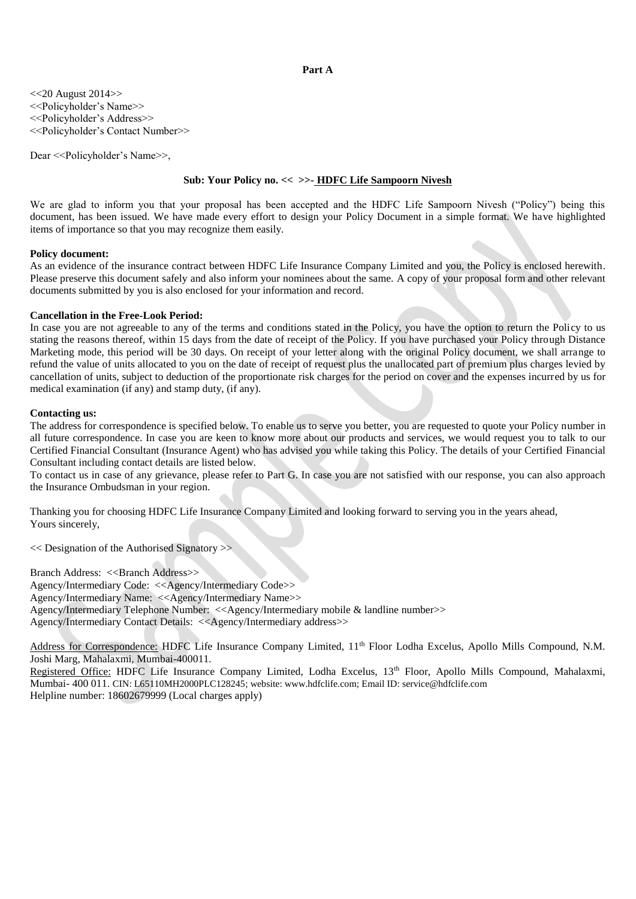## **Part A**

<<20 August 2014>> <<Policyholder's Name>> <<Policyholder's Address>> <<Policyholder's Contact Number>>

Dear << Policyholder's Name >>,

# **Sub: Your Policy no. << >>- HDFC Life Sampoorn Nivesh**

We are glad to inform you that your proposal has been accepted and the HDFC Life Sampoorn Nivesh ("Policy") being this document, has been issued. We have made every effort to design your Policy Document in a simple format. We have highlighted items of importance so that you may recognize them easily.

## **Policy document:**

As an evidence of the insurance contract between HDFC Life Insurance Company Limited and you, the Policy is enclosed herewith. Please preserve this document safely and also inform your nominees about the same. A copy of your proposal form and other relevant documents submitted by you is also enclosed for your information and record.

## **Cancellation in the Free-Look Period:**

In case you are not agreeable to any of the terms and conditions stated in the Policy, you have the option to return the Policy to us stating the reasons thereof, within 15 days from the date of receipt of the Policy. If you have purchased your Policy through Distance Marketing mode, this period will be 30 days. On receipt of your letter along with the original Policy document, we shall arrange to refund the value of units allocated to you on the date of receipt of request plus the unallocated part of premium plus charges levied by cancellation of units, subject to deduction of the proportionate risk charges for the period on cover and the expenses incurred by us for medical examination (if any) and stamp duty, (if any).

# **Contacting us:**

The address for correspondence is specified below. To enable us to serve you better, you are requested to quote your Policy number in all future correspondence. In case you are keen to know more about our products and services, we would request you to talk to our Certified Financial Consultant (Insurance Agent) who has advised you while taking this Policy. The details of your Certified Financial Consultant including contact details are listed below.

To contact us in case of any grievance, please refer to Part G. In case you are not satisfied with our response, you can also approach the Insurance Ombudsman in your region.

Thanking you for choosing HDFC Life Insurance Company Limited and looking forward to serving you in the years ahead, Yours sincerely,

<< Designation of the Authorised Signatory >>

Branch Address: <<Br/>SBranch Address>> Agency/Intermediary Code: <<Agency/Intermediary Code>> Agency/Intermediary Name: <<Agency/Intermediary Name>> Agency/Intermediary Telephone Number: <<Agency/Intermediary mobile & landline number>> Agency/Intermediary Contact Details: <<Agency/Intermediary address>>

Address for Correspondence: HDFC Life Insurance Company Limited, 11<sup>th</sup> Floor Lodha Excelus, Apollo Mills Compound, N.M. Joshi Marg, Mahalaxmi, Mumbai-400011.

Registered Office: HDFC Life Insurance Company Limited, Lodha Excelus, 13<sup>th</sup> Floor, Apollo Mills Compound, Mahalaxmi, Mumbai- 400 011. CIN: L65110MH2000PLC128245; website: www.hdfclife.com; Email ID: service@hdfclife.com Helpline number: 18602679999 (Local charges apply)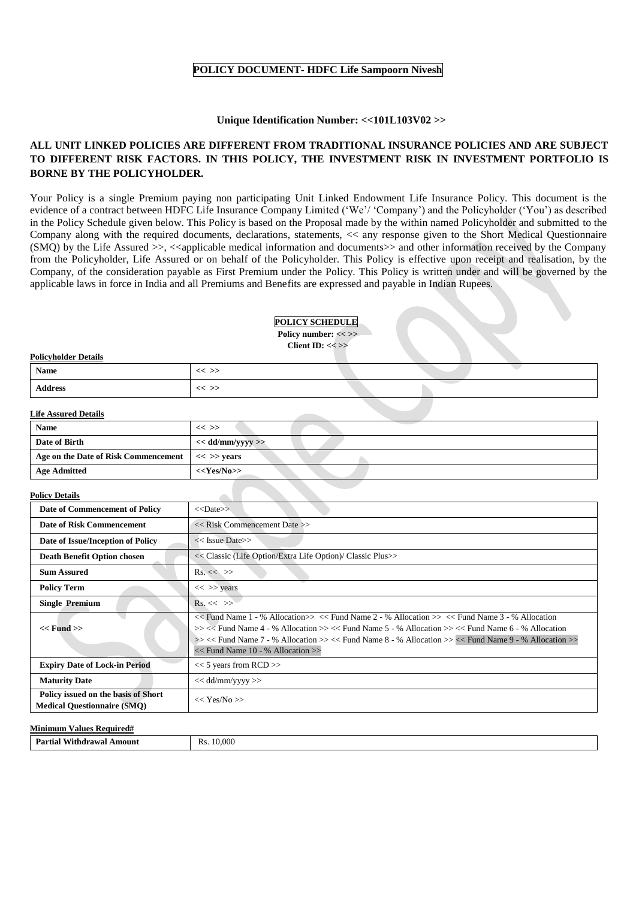# **POLICY DOCUMENT- HDFC Life Sampoorn Nivesh**

## **Unique Identification Number: <<101L103V02 >>**

# **ALL UNIT LINKED POLICIES ARE DIFFERENT FROM TRADITIONAL INSURANCE POLICIES AND ARE SUBJECT TO DIFFERENT RISK FACTORS. IN THIS POLICY, THE INVESTMENT RISK IN INVESTMENT PORTFOLIO IS BORNE BY THE POLICYHOLDER.**

Your Policy is a single Premium paying non participating Unit Linked Endowment Life Insurance Policy. This document is the evidence of a contract between HDFC Life Insurance Company Limited ('We'/ 'Company') and the Policyholder ('You') as described in the Policy Schedule given below. This Policy is based on the Proposal made by the within named Policyholder and submitted to the Company along with the required documents, declarations, statements, << any response given to the Short Medical Questionnaire  $(SMQ)$  by the Life Assured  $\gg$ ,  $\ll$ applicable medical information and documents  $\gg$  and other information received by the Company from the Policyholder, Life Assured or on behalf of the Policyholder. This Policy is effective upon receipt and realisation, by the Company, of the consideration payable as First Premium under the Policy. This Policy is written under and will be governed by the applicable laws in force in India and all Premiums and Benefits are expressed and payable in Indian Rupees.

|                      | <b>POLICY SCHEDULE</b><br>Policy number: << >><br>Client ID: $<<$ >> |  |  |
|----------------------|----------------------------------------------------------------------|--|--|
| Policyholder Details |                                                                      |  |  |
| <b>Name</b>          | $<<$ >>                                                              |  |  |
| <b>Address</b>       | $<<$ >>                                                              |  |  |

# **Life Assured Details**

| <b>Name</b>                          | $<<$ >>                 |
|--------------------------------------|-------------------------|
| Date of Birth                        | $<<$ dd/mm/yyyy $>>$    |
| Age on the Date of Risk Commencement | $<<$ >> years           |
| <b>Age Admitted</b>                  | < <yes no="">&gt;</yes> |

## **Policy Details**

| Date of Commencement of Policy                                            | $<<$ Date>>                                                                                                                                                                                                                                                                                                                                                            |  |
|---------------------------------------------------------------------------|------------------------------------------------------------------------------------------------------------------------------------------------------------------------------------------------------------------------------------------------------------------------------------------------------------------------------------------------------------------------|--|
| Date of Risk Commencement                                                 | $<<$ Risk Commencement Date $>>$                                                                                                                                                                                                                                                                                                                                       |  |
| Date of Issue/Inception of Policy                                         | $<<$ Issue Date $>>$                                                                                                                                                                                                                                                                                                                                                   |  |
| <b>Death Benefit Option chosen</b>                                        | << Classic (Life Option/Extra Life Option)/ Classic Plus>>                                                                                                                                                                                                                                                                                                             |  |
| <b>Sum Assured</b>                                                        | $\text{Rs.}<<\gg$                                                                                                                                                                                                                                                                                                                                                      |  |
| <b>Policy Term</b>                                                        | $<<$ >> years                                                                                                                                                                                                                                                                                                                                                          |  |
| <b>Single Premium</b>                                                     | $Rs. \ll \gg$                                                                                                                                                                                                                                                                                                                                                          |  |
| $<<$ Fund $>>$                                                            | $<<$ Fund Name 1 - % Allocation $>><<$ Fund Name 2 - % Allocation $>><<$ Fund Name 3 - % Allocation<br>$>> <<$ Fund Name 4 - % Allocation $>> <<$ Fund Name 5 - % Allocation $>> <<$ Fund Name 6 - % Allocation<br>$>><<$ Fund Name 7 - % Allocation $>><<$ Fund Name 8 - % Allocation $>><<$ Fund Name 9 - % Allocation $>>$<br>$<<$ Fund Name 10 - % Allocation $>>$ |  |
| <b>Expiry Date of Lock-in Period</b>                                      | $<< 5$ years from RCD $>>$                                                                                                                                                                                                                                                                                                                                             |  |
| <b>Maturity Date</b>                                                      | $<<$ dd/mm/yyyy >>                                                                                                                                                                                                                                                                                                                                                     |  |
| Policy issued on the basis of Short<br><b>Medical Questionnaire (SMO)</b> | $<<$ Yes/No $>>$                                                                                                                                                                                                                                                                                                                                                       |  |
|                                                                           |                                                                                                                                                                                                                                                                                                                                                                        |  |

| Minin<br>-Keguired#<br>alues<br>mım |                                                    |  |
|-------------------------------------|----------------------------------------------------|--|
| Partiau<br>\mount<br>Withdrawal .   | .000<br>$\overline{\phantom{a}}$<br><b>Rs</b><br>. |  |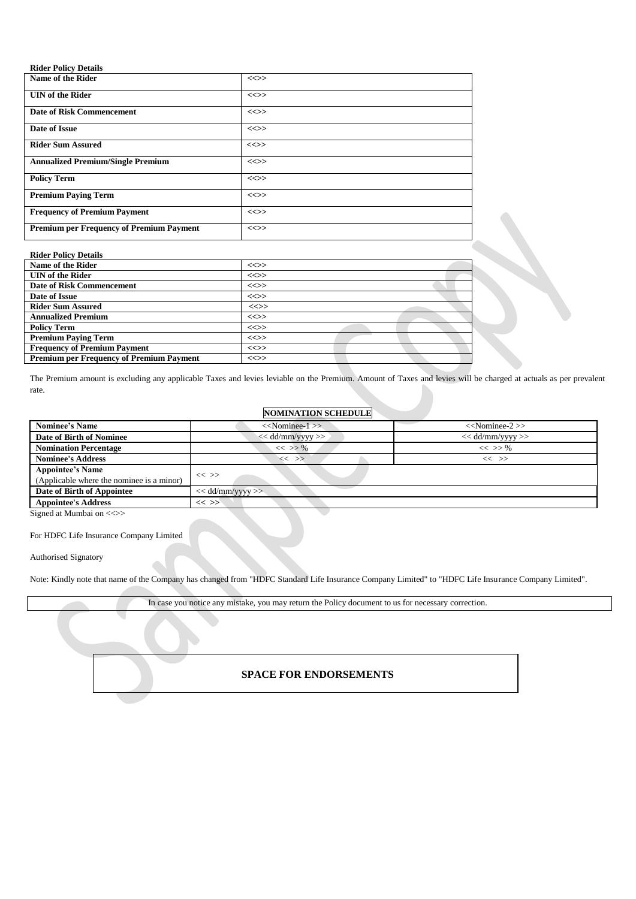| <b>Rider Policy Details</b>                     |        |
|-------------------------------------------------|--------|
| Name of the Rider                               | $\iff$ |
| <b>UIN</b> of the Rider                         | $\iff$ |
| <b>Date of Risk Commencement</b>                | $\iff$ |
| Date of Issue                                   | $\iff$ |
| <b>Rider Sum Assured</b>                        | $\iff$ |
| <b>Annualized Premium/Single Premium</b>        | $\iff$ |
| <b>Policy Term</b>                              | $\iff$ |
| <b>Premium Paying Term</b>                      | $\iff$ |
| <b>Frequency of Premium Payment</b>             | $\iff$ |
| <b>Premium per Frequency of Premium Payment</b> | $\iff$ |

| <b>Rider Policy Details</b>      |          |
|----------------------------------|----------|
| Name of the Rider                | $\iff$   |
| <b>UIN</b> of the Rider          | $\iff$   |
| <b>Date of Risk Commencement</b> | $\iff$   |
| Date of Issue                    | $\iff$   |
| <b>Rider Sum Assured</b>         | $\ll >>$ |
| <b>Annualized Premium</b>        | $\iff$   |
| <b>Policy Term</b>               | $\iff$   |
| <b>Premium Paving Term</b>       | <<>      |

**Frequency of Premium Payment**  $\vert \ll \rangle$ **Premium per Frequency of Premium Payment <<>>**

The Premium amount is excluding any applicable Taxes and levies leviable on the Premium. Amount of Taxes and levies will be charged at actuals as per prevalent rate.

## **NOMINATION SCHEDULE**

| <b>Nominee's Name</b>                     | $<<$ Nominee-1 $>>$                      | $<<$ Nominee-2 $>>$ |
|-------------------------------------------|------------------------------------------|---------------------|
| Date of Birth of Nominee                  | $<<$ dd/mm/yyyy >><br>$<<$ dd/mm/yyyy >> |                     |
| <b>Nomination Percentage</b>              | $<<$ >> %<br>$<<$ >> %                   |                     |
| <b>Nominee's Address</b>                  | << >><br>$<<$ $>$                        |                     |
| <b>Appointee's Name</b>                   |                                          |                     |
| (Applicable where the nominee is a minor) | $<<$ $>>$                                |                     |
| Date of Birth of Appointee                | $<<$ dd/mm/yyyy $>>$                     |                     |
| <b>Appointee's Address</b>                | $<<$ >>                                  |                     |

Signed at Mumbai on  $\ll$ 

# For HDFC Life Insurance Company Limited

Authorised Signatory

Note: Kindly note that name of the Company has changed from "HDFC Standard Life Insurance Company Limited" to "HDFC Life Insurance Company Limited".

In case you notice any mistake, you may return the Policy document to us for necessary correction.

# **SPACE FOR ENDORSEMENTS**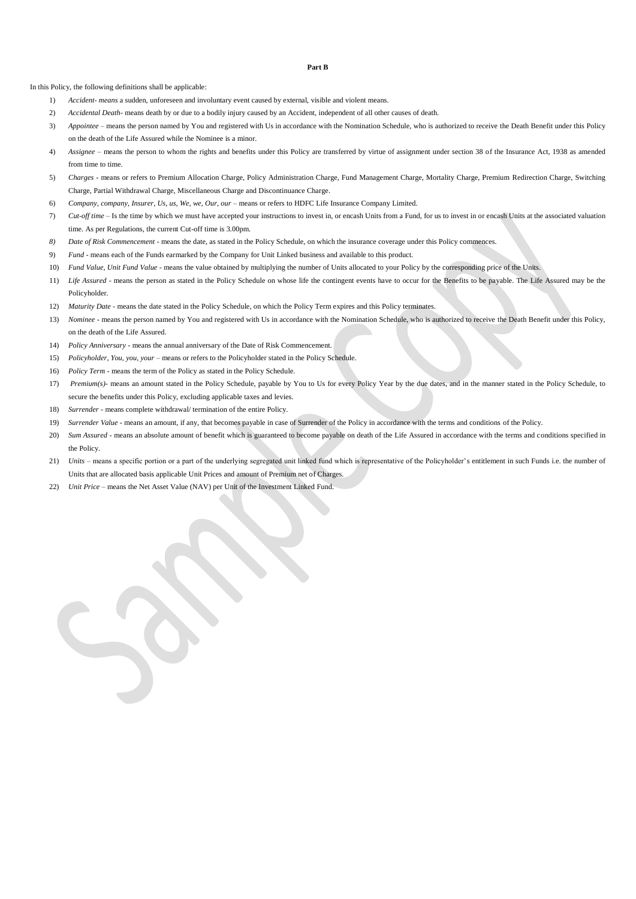**Part B**

In this Policy, the following definitions shall be applicable:

- 1) *Accident- means* a sudden, unforeseen and involuntary event caused by external, visible and violent means.
- 2) *Accidental Death-* means death by or due to a bodily injury caused by an Accident, independent of all other causes of death.
- 3) *Appointee* means the person named by You and registered with Us in accordance with the Nomination Schedule, who is authorized to receive the Death Benefit under this Policy on the death of the Life Assured while the Nominee is a minor.
- 4) *Assignee*  means the person to whom the rights and benefits under this Policy are transferred by virtue of assignment under section 38 of the Insurance Act, 1938 as amended from time to time.
- 5) *Charges -* means or refers to Premium Allocation Charge, Policy Administration Charge, Fund Management Charge, Mortality Charge, Premium Redirection Charge, Switching Charge, Partial Withdrawal Charge, Miscellaneous Charge and Discontinuance Charge.
- 6) *Company, company, Insurer, Us, us, We, we, Our, our*  means or refers to HDFC Life Insurance Company Limited.
- 7) *Cut-off time* Is the time by which we must have accepted your instructions to invest in, or encash Units from a Fund, for us to invest in or encash Units at the associated valuation time. As per Regulations, the current Cut-off time is 3.00pm.
- *8) Date of Risk Commencement -* means the date, as stated in the Policy Schedule, on which the insurance coverage under this Policy commences.
- 9) *Fund* means each of the Funds earmarked by the Company for Unit Linked business and available to this product.
- 10) *Fund Value, Unit Fund Value* means the value obtained by multiplying the number of Units allocated to your Policy by the corresponding price of the Units.
- 11) *Life Assured* means the person as stated in the Policy Schedule on whose life the contingent events have to occur for the Benefits to be payable. The Life Assured may be the Policyholder.
- 12) *Maturity Date* means the date stated in the Policy Schedule, on which the Policy Term expires and this Policy terminates.
- 13) *Nominee* means the person named by You and registered with Us in accordance with the Nomination Schedule, who is authorized to receive the Death Benefit under this Policy, on the death of the Life Assured.
- 14) *Policy Anniversary -* means the annual anniversary of the Date of Risk Commencement.
- 15) *Policyholder, You, you, your* means or refers to the Policyholder stated in the Policy Schedule.
- 16) *Policy Term*  means the term of the Policy as stated in the Policy Schedule.
- 17) *Premium(s)* means an amount stated in the Policy Schedule, payable by You to Us for every Policy Year by the due dates, and in the manner stated in the Policy Schedule, to secure the benefits under this Policy, excluding applicable taxes and levies.
- 18) *Surrender* means complete withdrawal/ termination of the entire Policy.
- 19) *Surrender Value* means an amount, if any, that becomes payable in case of Surrender of the Policy in accordance with the terms and conditions of the Policy.
- 20) *Sum Assured* means an absolute amount of benefit which is guaranteed to become payable on death of the Life Assured in accordance with the terms and conditions specified in the Policy.
- 21) *Units* means a specific portion or a part of the underlying segregated unit linked fund which is representative of the Policyholder's entitlement in such Funds i.e. the number of Units that are allocated basis applicable Unit Prices and amount of Premium net of Charges.
- 22) *Unit Price* means the Net Asset Value (NAV) per Unit of the Investment Linked Fund.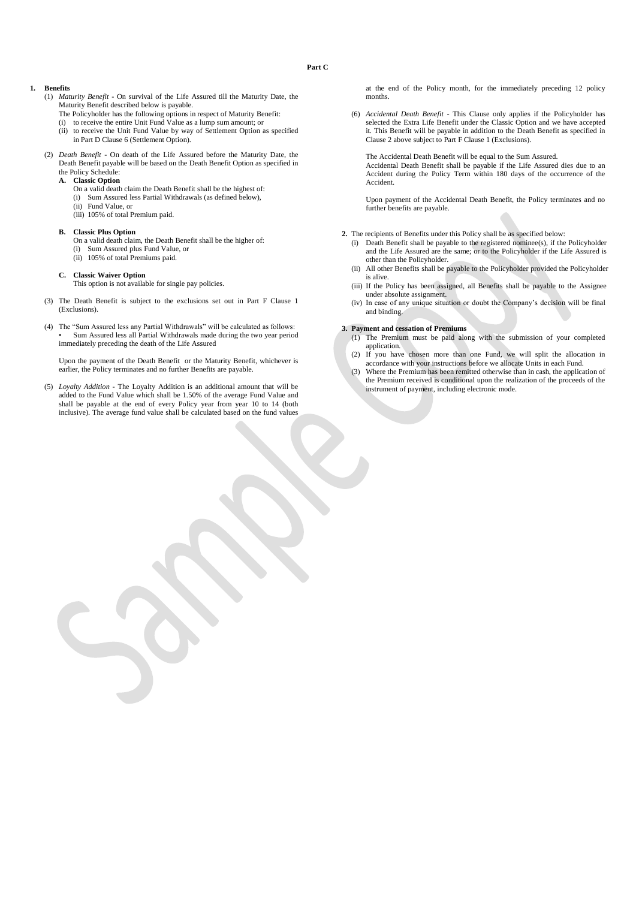#### **Part C**

## **1. Benefits**

- (1) *Maturity Benefit* On survival of the Life Assured till the Maturity Date, the Maturity Benefit described below is payable.
	- The Policyholder has the following options in respect of Maturity Benefit:
	- (i) to receive the entire Unit Fund Value as a lump sum amount; or
	- (ii) to receive the Unit Fund Value by way of Settlement Option as specified in Part D Clause 6 (Settlement Option).
- (2) *Death Benefit* On death of the Life Assured before the Maturity Date, the Death Benefit payable will be based on the Death Benefit Option as specified in the Policy Schedule:
	- **A. Classic Option**
		- On a valid death claim the Death Benefit shall be the highest of:
		- (i) Sum Assured less Partial Withdrawals (as defined below),
		- (ii) Fund Value, or
		- (iii) 105% of total Premium paid.

## **B. Classic Plus Option**

- On a valid death claim, the Death Benefit shall be the higher of:
- (i) Sum Assured plus Fund Value, or
- (ii) 105% of total Premiums paid.
- **C. Classic Waiver Option**

This option is not available for single pay policies.

- (3) The Death Benefit is subject to the exclusions set out in Part F Clause 1 (Exclusions).
- (4) The "Sum Assured less any Partial Withdrawals" will be calculated as follows: • Sum Assured less all Partial Withdrawals made during the two year period immediately preceding the death of the Life Assured

Upon the payment of the Death Benefit or the Maturity Benefit, whichever is earlier, the Policy terminates and no further Benefits are payable.

(5) *Loyalty Addition* - The Loyalty Addition is an additional amount that will be added to the Fund Value which shall be 1.50% of the average Fund Value and shall be payable at the end of every Policy year from year 10 to 14 (both inclusive). The average fund value shall be calculated based on the fund values

at the end of the Policy month, for the immediately preceding 12 policy months.

(6) *Accidental Death Benefit* - This Clause only applies if the Policyholder has selected the Extra Life Benefit under the Classic Option and we have accepted it. This Benefit will be payable in addition to the Death Benefit as specified in Clause 2 above subject to Part F Clause 1 (Exclusions).

The Accidental Death Benefit will be equal to the Sum Assured.

Accidental Death Benefit shall be payable if the Life Assured dies due to an Accident during the Policy Term within 180 days of the occurrence of the Accident.

Upon payment of the Accidental Death Benefit, the Policy terminates and no further benefits are payable.

**2.** The recipients of Benefits under this Policy shall be as specified below:

- (i) Death Benefit shall be payable to the registered nominee(s), if the Policyholder and the Life Assured are the same; or to the Policyholder if the Life Assured is other than the Policyholder.
- (ii) All other Benefits shall be payable to the Policyholder provided the Policyholder is alive.
- (iii) If the Policy has been assigned, all Benefits shall be payable to the Assignee under absolute assignment.
- (iv) In case of any unique situation or doubt the Company's decision will be final and binding.

## **3. Payment and cessation of Premiums**

- (1) The Premium must be paid along with the submission of your completed application.
- (2) If you have chosen more than one Fund, we will split the allocation in accordance with your instructions before we allocate Units in each Fund.
- (3) Where the Premium has been remitted otherwise than in cash, the application of the Premium received is conditional upon the realization of the proceeds of the instrument of payment, including electronic mode.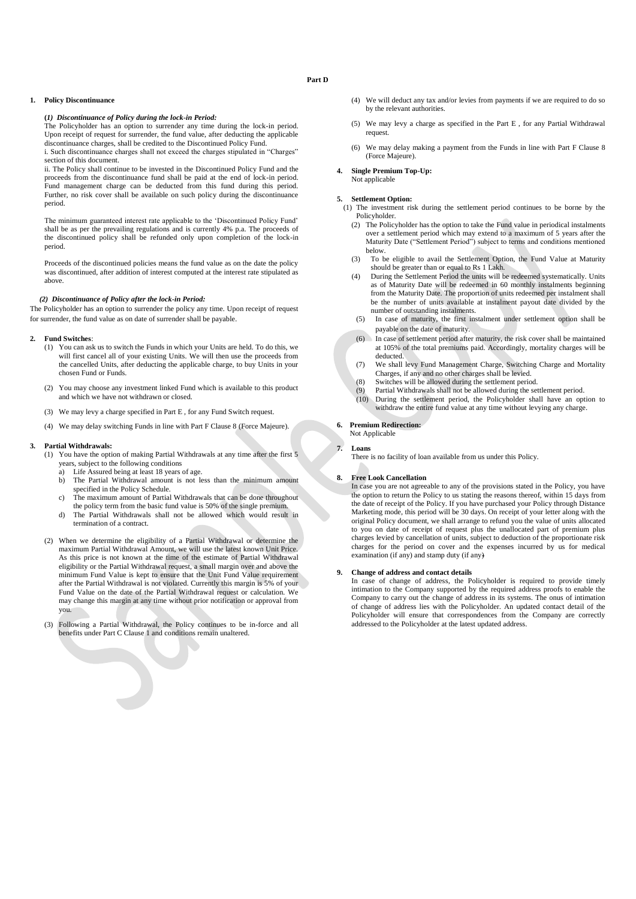## **Part D**

## **1. Policy Discontinuance**

## **(***1) Discontinuance of Policy during the lock-in Period:*

The Policyholder has an option to surrender any time during the lock-in period. Upon receipt of request for surrender, the fund value, after deducting the applicable discontinuance charges, shall be credited to the Discontinued Policy Fund. i. Such discontinuance charges shall not exceed the charges stipulated in "Charges" section of this document.

ii. The Policy shall continue to be invested in the Discontinued Policy Fund and the proceeds from the discontinuance fund shall be paid at the end of lock-in period. Fund management charge can be deducted from this fund during this period. Further, no risk cover shall be available on such policy during the discontinuance period.

The minimum guaranteed interest rate applicable to the 'Discontinued Policy Fund' shall be as per the prevailing regulations and is currently 4% p.a. The proceeds of the discontinued policy shall be refunded only upon completion of the lock-in period.

Proceeds of the discontinued policies means the fund value as on the date the policy was discontinued, after addition of interest computed at the interest rate stipulated as above.

## *(2) Discontinuance of Policy after the lock-in Period:*

The Policyholder has an option to surrender the policy any time. Upon receipt of request for surrender, the fund value as on date of surrender shall be payable.

#### **2. Fund Switches**:

- (1) You can ask us to switch the Funds in which your Units are held. To do this, we will first cancel all of your existing Units. We will then use the proceeds from the cancelled Units, after deducting the applicable charge, to buy Units in your chosen Fund or Funds.
- (2) You may choose any investment linked Fund which is available to this product and which we have not withdrawn or closed.
- (3) We may levy a charge specified in Part E , for any Fund Switch request.
- (4) We may delay switching Funds in line with Part F Clause 8 (Force Majeure).

#### **3. Partial Withdrawals:**

- (1) You have the option of making Partial Withdrawals at any time after the first 5 years, subject to the following conditions
	- a) Life Assured being at least 18 years of age.
	- b) The Partial Withdrawal amount is not less than the minimum amount specified in the Policy Schedule.
	- c) The maximum amount of Partial Withdrawals that can be done throughout the policy term from the basic fund value is 50% of the single premium.
	- d) The Partial Withdrawals shall not be allowed which would result in termination of a contract.
- (2) When we determine the eligibility of a Partial Withdrawal or determine the maximum Partial Withdrawal Amount, we will use the latest known Unit Price. As this price is not known at the time of the estimate of Partial Withdrawal eligibility or the Partial Withdrawal request, a small margin over and above the minimum Fund Value is kept to ensure that the Unit Fund Value requirement after the Partial Withdrawal is not violated. Currently this margin is 5% of your Fund Value on the date of the Partial Withdrawal request or calculation. We may change this margin at any time without prior notification or approval from you.
- (3) Following a Partial Withdrawal, the Policy continues to be in-force and all benefits under Part C Clause 1 and conditions remain unaltered.
- (4) We will deduct any tax and/or levies from payments if we are required to do so by the relevant authorities.
- (5) We may levy a charge as specified in the Part E , for any Partial Withdrawal request.
- (6) We may delay making a payment from the Funds in line with Part F Clause 8 (Force Majeure).
- **4. Single Premium Top-Up:** Not applicable

#### **5. Settlement Option:**

- (1) The investment risk during the settlement period continues to be borne by the Policyholder.
	- (2) The Policyholder has the option to take the Fund value in periodical instalments over a settlement period which may extend to a maximum of 5 years after the Maturity Date ("Settlement Period") subject to terms and conditions mentioned below.
	- (3) To be eligible to avail the Settlement Option, the Fund Value at Maturity should be greater than or equal to Rs 1 Lakh.
	- (4) During the Settlement Period the units will be redeemed systematically. Units as of Maturity Date will be redeemed in 60 monthly instalments beginning from the Maturity Date. The proportion of units redeemed per instalment shall be the number of units available at instalment payout date divided by the number of outstanding instalments.
	- (5) In case of maturity, the first instalment under settlement option shall be payable on the date of maturity.
	- (6) In case of settlement period after maturity, the risk cover shall be maintained at 105% of the total premiums paid. Accordingly, mortality charges will be deducted.
	- (7) We shall levy Fund Management Charge, Switching Charge and Mortality Charges, if any and no other charges shall be levied.
	- (8) Switches will be allowed during the settlement period.
	- Partial Withdrawals shall not be allowed during the settlement period. (10) During the settlement period, the Policyholder shall have an option to
	- withdraw the entire fund value at any time without levying any charge.

#### **6. Premium Redirection:** Not Applicable

# **7. Loans**

There is no facility of loan available from us under this Policy.

#### **8. Free Look Cancellation**

In case you are not agreeable to any of the provisions stated in the Policy, you have the option to return the Policy to us stating the reasons thereof, within 15 days from the date of receipt of the Policy. If you have purchased your Policy through Distance Marketing mode, this period will be 30 days. On receipt of your letter along with the original Policy document, we shall arrange to refund you the value of units allocated to you on date of receipt of request plus the unallocated part of premium plus charges levied by cancellation of units, subject to deduction of the proportionate risk charges for the period on cover and the expenses incurred by us for medical examination (if any) and stamp duty (if any)

#### **9. Change of address and contact details**

In case of change of address, the Policyholder is required to provide timely intimation to the Company supported by the required address proofs to enable the Company to carry out the change of address in its systems. The onus of intimation of change of address lies with the Policyholder. An updated contact detail of the Policyholder will ensure that correspondences from the Company are correctly addressed to the Policyholder at the latest updated address.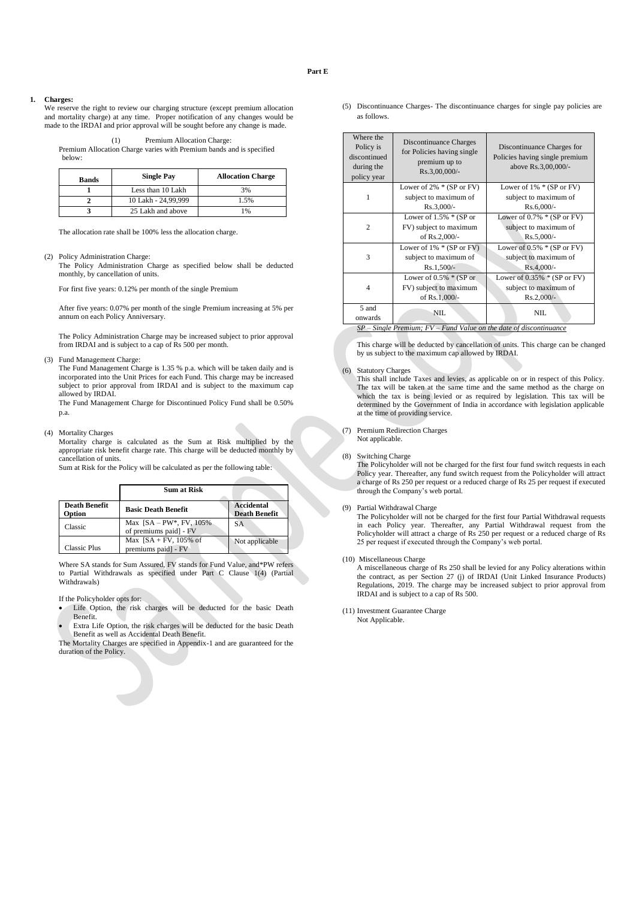#### **1. Charges:**

We reserve the right to review our charging structure (except premium allocation and mortality charge) at any time. Proper notification of any changes would be made to the IRDAI and prior approval will be sought before any change is made.

| (1) | Premium Allocation Charge: |
|-----|----------------------------|
|-----|----------------------------|

Premium Allocation Charge varies with Premium bands and is specified below:

| <b>Bands</b> | <b>Single Pay</b>   | <b>Allocation Charge</b> |
|--------------|---------------------|--------------------------|
|              | Less than 10 Lakh   | 3%                       |
|              | 10 Lakh - 24,99,999 | 1.5%                     |
|              | 25 Lakh and above   | 1%                       |

The allocation rate shall be 100% less the allocation charge.

#### (2) Policy Administration Charge:

The Policy Administration Charge as specified below shall be deducted monthly, by cancellation of units.

For first five years: 0.12% per month of the single Premium

After five years: 0.07% per month of the single Premium increasing at 5% per annum on each Policy Anniversary.

The Policy Administration Charge may be increased subject to prior approval from IRDAI and is subject to a cap of Rs 500 per month.

(3) Fund Management Charge:

The Fund Management Charge is 1.35 % p.a. which will be taken daily and is incorporated into the Unit Prices for each Fund. This charge may be increased subject to prior approval from IRDAI and is subject to the maximum cap allowed by IRDAI.

The Fund Management Charge for Discontinued Policy Fund shall be 0.50% p.a.

(4) Mortality Charges

Mortality charge is calculated as the Sum at Risk multiplied by the appropriate risk benefit charge rate. This charge will be deducted monthly by cancellation of units.

Sum at Risk for the Policy will be calculated as per the following table:

|                                | <b>Sum at Risk</b>                                   |                                    |
|--------------------------------|------------------------------------------------------|------------------------------------|
| <b>Death Benefit</b><br>Option | <b>Basic Death Benefit</b>                           | Accidental<br><b>Death Benefit</b> |
| Classic                        | Max $[SA-PW^*, FV, 105\%]$<br>of premiums paid] - FV | SA                                 |
| <b>Classic Plus</b>            | Max $[SA + FV, 105%$ of<br>premiums paid] - FV       | Not applicable                     |

Where SA stands for Sum Assured, FV stands for Fund Value, and\*PW refers to Partial Withdrawals as specified under Part C Clause 1(4) (Partial Withdrawals)

If the Policyholder opts for:

- Life Option, the risk charges will be deducted for the basic Death Benefit.
- Extra Life Option, the risk charges will be deducted for the basic Death Benefit as well as Accidental Death Benefit.

The Mortality Charges are specified in Appendix-1 and are guaranteed for the duration of the Policy.

(5) Discontinuance Charges- The discontinuance charges for single pay policies are as follows.

| Where the<br>Policy is<br>discontinued<br>during the<br>policy year | Discontinuance Charges<br>for Policies having single<br>premium up to<br>Rs.3,00,000/- | Discontinuance Charges for<br>Policies having single premium<br>above Rs.3,00,000/- |
|---------------------------------------------------------------------|----------------------------------------------------------------------------------------|-------------------------------------------------------------------------------------|
|                                                                     | Lower of $2\% * (SP \text{ or } FV)$<br>subject to maximum of<br>$Rs.3,000/-$          | Lower of $1\% * (SP or FV)$<br>subject to maximum of<br>$Rs.6,000/-$                |
| $\overline{c}$                                                      | Lower of $1.5\% * (SP or$<br>FV) subject to maximum<br>of Rs.2,000/-                   | Lower of $0.7\% * (SP or FV)$<br>subject to maximum of<br>$Rs.5,000/-$              |
| 3                                                                   | Lower of $1\% * (SP or FV)$<br>subject to maximum of<br>$Rs.1,500/-$                   | Lower of $0.5\% * (SP or FV)$<br>subject to maximum of<br>$Rs.4,000/-$              |
| 4                                                                   | Lower of $0.5\%$ * (SP or<br>FV) subject to maximum<br>of Rs.1,000/-                   | Lower of $0.35\%$ * (SP or FV)<br>subject to maximum of<br>$Rs.2,000/-$             |
| 5 and<br>onwards<br>$\alpha$ $\alpha$ $\beta$ $\alpha$ $\beta$      | NIL.                                                                                   | NIL<br>$F(t, F, \ldots, H, t)$ and $\ldots$ $d \cdot f$ and $f(t, \ldots, t)$       |

*Single Premium; FV – Fund Value on the date of discontinuance* 

This charge will be deducted by cancellation of units. This charge can be changed by us subject to the maximum cap allowed by IRDAI.

#### (6) Statutory Charges

This shall include Taxes and levies, as applicable on or in respect of this Policy. The tax will be taken at the same time and the same method as the charge on which the tax is being levied or as required by legislation. This tax will be determined by the Government of India in accordance with legislation applicable at the time of providing service.

(7) Premium Redirection Charges

Not applicable.

(8) Switching Charge

The Policyholder will not be charged for the first four fund switch requests in each Policy year. Thereafter, any fund switch request from the Policyholder will attract a charge of Rs 250 per request or a reduced charge of Rs 25 per request if executed through the Company's web portal.

## (9) Partial Withdrawal Charge

The Policyholder will not be charged for the first four Partial Withdrawal requests in each Policy year. Thereafter, any Partial Withdrawal request from the Policyholder will attract a charge of Rs 250 per request or a reduced charge of Rs 25 per request if executed through the Company's web portal.

(10) Miscellaneous Charge

A miscellaneous charge of Rs 250 shall be levied for any Policy alterations within the contract, as per Section 27 (j) of IRDAI (Unit Linked Insurance Products) Regulations, 2019. The charge may be increased subject to prior approval from IRDAI and is subject to a cap of Rs 500.

(11) Investment Guarantee Charge Not Applicable.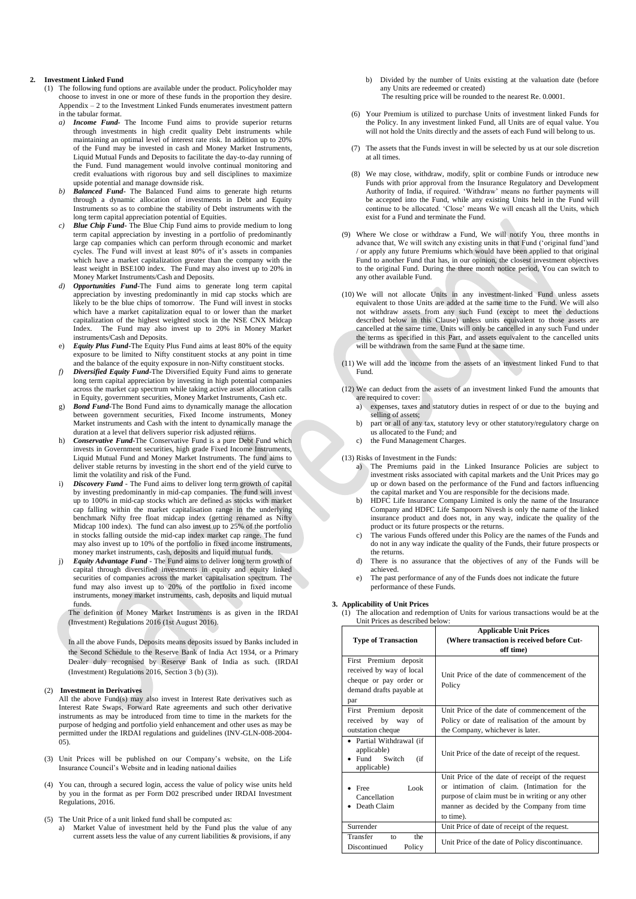### **2. Investment Linked Fund**

- (1) The following fund options are available under the product. Policyholder may choose to invest in one or more of these funds in the proportion they desire. Appendix – 2 to the Investment Linked Funds enumerates investment pattern in the tabular format.
	- *a) Income Fund-* The Income Fund aims to provide superior returns through investments in high credit quality Debt instruments while maintaining an optimal level of interest rate risk. In addition up to 20% of the Fund may be invested in cash and Money Market Instruments, Liquid Mutual Funds and Deposits to facilitate the day-to-day running of the Fund. Fund management would involve continual monitoring and credit evaluations with rigorous buy and sell disciplines to maximize upside potential and manage downside risk.
	- *b) Balanced Fund***-** The Balanced Fund aims to generate high returns through a dynamic allocation of investments in Debt and Equity Instruments so as to combine the stability of Debt instruments with the long term capital appreciation potential of Equities.
	- *Blue Chip Fund* The Blue Chip Fund aims to provide medium to long term capital appreciation by investing in a portfolio of predominantly large cap companies which can perform through economic and market cycles. The Fund will invest at least 80% of it's assets in companies which have a market capitalization greater than the company with the least weight in BSE100 index. The Fund may also invest up to 20% in Money Market Instruments/Cash and Deposits.
	- *d) Opportunities Fund***-**The Fund aims to generate long term capital appreciation by investing predominantly in mid cap stocks which are likely to be the blue chips of tomorrow. The Fund will invest in stocks which have a market capitalization equal to or lower than the market capitalization of the highest weighted stock in the NSE CNX Midcap Index. The Fund may also invest up to 20% in Money Market instruments/Cash and Deposits.
	- e) *Equity Plus Fund***-**The Equity Plus Fund aims at least 80% of the equity exposure to be limited to Nifty constituent stocks at any point in time and the balance of the equity exposure in non-Nifty constituent stocks.
	- *f) Diversified Equity Fund***-**The Diversified Equity Fund aims to generate long term capital appreciation by investing in high potential companies across the market cap spectrum while taking active asset allocation calls in Equity, government securities, Money Market Instruments, Cash etc.
	- g) *Bond Fund***-**The Bond Fund aims to dynamically manage the allocation between government securities, Fixed Income instruments, Money Market instruments and Cash with the intent to dynamically manage the duration at a level that delivers superior risk adjusted returns.
	- h) *Conservative Fund-*The Conservative Fund is a pure Debt Fund which invests in Government securities, high grade Fixed Income Instruments, Liquid Mutual Fund and Money Market Instruments. The fund aims to deliver stable returns by investing in the short end of the yield curve to limit the volatility and risk of the Fund.
	- i) *Discovery Fund* The Fund aims to deliver long term growth of capital by investing predominantly in mid-cap companies. The fund will invest up to 100% in mid-cap stocks which are defined as stocks with market cap falling within the market capitalisation range in the underlying benchmark Nifty free float midcap index (getting renamed as Nifty Midcap 100 index). The fund can also invest up to 25% of the portfolio in stocks falling outside the mid-cap index market cap range. The fund may also invest up to 10% of the portfolio in fixed income instruments, money market instruments, cash, deposits and liquid mutual funds.
	- j) *Equity Advantage Fund* The Fund aims to deliver long term growth of capital through diversified investments in equity and equity linked securities of companies across the market capitalisation spectrum. The fund may also invest up to 20% of the portfolio in fixed income instruments, money market instruments, cash, deposits and liquid mutual funds.

The definition of Money Market Instruments is as given in the IRDAI (Investment) Regulations 2016 (1st August 2016).

In all the above Funds, Deposits means deposits issued by Banks included in the Second Schedule to the Reserve Bank of India Act 1934, or a Primary Dealer duly recognised by Reserve Bank of India as such. (IRDAI (Investment) Regulations 2016, Section 3 (b) (3)).

#### (2) **Investment in Derivatives**

All the above Fund(s) may also invest in Interest Rate derivatives such as Interest Rate Swaps, Forward Rate agreements and such other derivative instruments as may be introduced from time to time in the markets for the purpose of hedging and portfolio yield enhancement and other uses as may be permitted under the IRDAI regulations and guidelines (INV-GLN-008-2004-  $05$ 

- (3) Unit Prices will be published on our Company's website, on the Life Insurance Council's Website and in leading national dailies
- (4) You can, through a secured login, access the value of policy wise units held by you in the format as per Form D02 prescribed under IRDAI Investment Regulations, 2016.
- (5) The Unit Price of a unit linked fund shall be computed as:
	- a) Market Value of investment held by the Fund plus the value of any current assets less the value of any current liabilities & provisions, if any
- b) Divided by the number of Units existing at the valuation date (before any Units are redeemed or created) The resulting price will be rounded to the nearest Re. 0.0001.
- (6) Your Premium is utilized to purchase Units of investment linked Funds for the Policy. In any investment linked Fund, all Units are of equal value. You will not hold the Units directly and the assets of each Fund will belong to us.
- (7) The assets that the Funds invest in will be selected by us at our sole discretion at all times.
- (8) We may close, withdraw, modify, split or combine Funds or introduce new Funds with prior approval from the Insurance Regulatory and Development Authority of India, if required. 'Withdraw' means no further payments will be accepted into the Fund, while any existing Units held in the Fund will continue to be allocated. 'Close' means We will encash all the Units, which exist for a Fund and terminate the Fund.
- (9) Where We close or withdraw a Fund, We will notify You, three months in advance that, We will switch any existing units in that Fund ('original fund')and or apply any future Premiums which would have been applied to that original Fund to another Fund that has, in our opinion, the closest investment objectives to the original Fund. During the three month notice period, You can switch to any other available Fund.
- (10) We will not allocate Units in any investment-linked Fund unless assets equivalent to those Units are added at the same time to the Fund. We will also not withdraw assets from any such Fund (except to meet the deductions described below in this Clause) unless units equivalent to those assets are cancelled at the same time. Units will only be cancelled in any such Fund under the terms as specified in this Part, and assets equivalent to the cancelled units will be withdrawn from the same Fund at the same time.
- (11) We will add the income from the assets of an investment linked Fund to that Fund.
- (12) We can deduct from the assets of an investment linked Fund the amounts that are required to cover:
	- a) expenses, taxes and statutory duties in respect of or due to the buying and selling of assets;
	- b) part or all of any tax, statutory levy or other statutory/regulatory charge on us allocated to the Fund; and
	- c) the Fund Management Charges.

(13) Risks of Investment in the Funds:

- a) The Premiums paid in the Linked Insurance Policies are subject to investment risks associated with capital markets and the Unit Prices may go up or down based on the performance of the Fund and factors influencing the capital market and You are responsible for the decisions made.
- b) HDFC Life Insurance Company Limited is only the name of the Insurance Company and HDFC Life Sampoorn Nivesh is only the name of the linked insurance product and does not, in any way, indicate the quality of the product or its future prospects or the returns.
- The various Funds offered under this Policy are the names of the Funds and do not in any way indicate the quality of the Funds, their future prospects or the returns.
- d) There is no assurance that the objectives of any of the Funds will be achieved.
- The past performance of any of the Funds does not indicate the future performance of these Funds.

#### **3. Applicability of Unit Prices**

(1) The allocation and redemption of Units for various transactions would be at the Unit Prices as described below:

| <b>Type of Transaction</b>                                                                                     | <b>Applicable Unit Prices</b><br>(Where transaction is received before Cut-<br>off time)                                                                                                                       |
|----------------------------------------------------------------------------------------------------------------|----------------------------------------------------------------------------------------------------------------------------------------------------------------------------------------------------------------|
| First Premium deposit<br>received by way of local<br>cheque or pay order or<br>demand drafts payable at<br>par | Unit Price of the date of commencement of the<br>Policy                                                                                                                                                        |
| First Premium deposit<br>received by way<br>of<br>outstation cheque                                            | Unit Price of the date of commencement of the<br>Policy or date of realisation of the amount by<br>the Company, whichever is later.                                                                            |
| • Partial Withdrawal (if<br>applicable)<br>Fund Switch<br>(i f)<br>applicable)                                 | Unit Price of the date of receipt of the request.                                                                                                                                                              |
| Look<br>$•$ Free<br>Cancellation<br>Death Claim                                                                | Unit Price of the date of receipt of the request<br>or intimation of claim. (Intimation for the<br>purpose of claim must be in writing or any other<br>manner as decided by the Company from time<br>to time). |
| Surrender                                                                                                      | Unit Price of date of receipt of the request.                                                                                                                                                                  |
| Transfer<br>the<br>to<br>Discontinued<br>Policy                                                                | Unit Price of the date of Policy discontinuance.                                                                                                                                                               |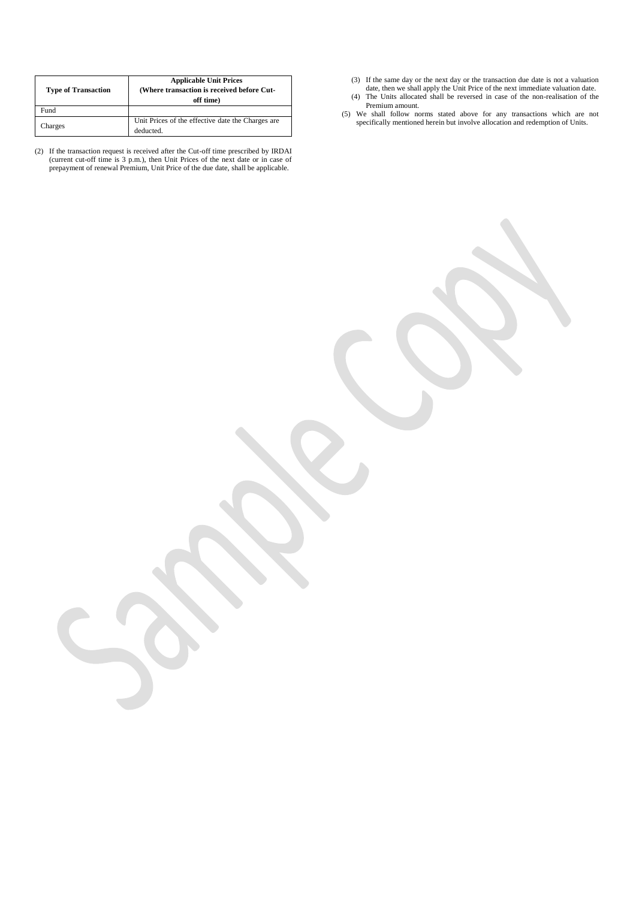| <b>Type of Transaction</b> | <b>Applicable Unit Prices</b><br>(Where transaction is received before Cut-<br>off time) |  |  |
|----------------------------|------------------------------------------------------------------------------------------|--|--|
| Fund                       |                                                                                          |  |  |
| Charges                    | Unit Prices of the effective date the Charges are<br>deducted.                           |  |  |

(2) If the transaction request is received after the Cut-off time prescribed by IRDAI (current cut-off time is 3 p.m.), then Unit Prices of the next date or in case of prepayment of renewal Premium, Unit Price of the due date, shall be applicable.

(3) If the same day or the next day or the transaction due date is not a valuation

- date, then we shall apply the Unit Price of the next immediate valuation date. (4) The Units allocated shall be reversed in case of the non-realisation of the Premium amount.
- (5) We shall follow norms stated above for any transactions which are not specifically mentioned herein but involve allocation and redemption of Units.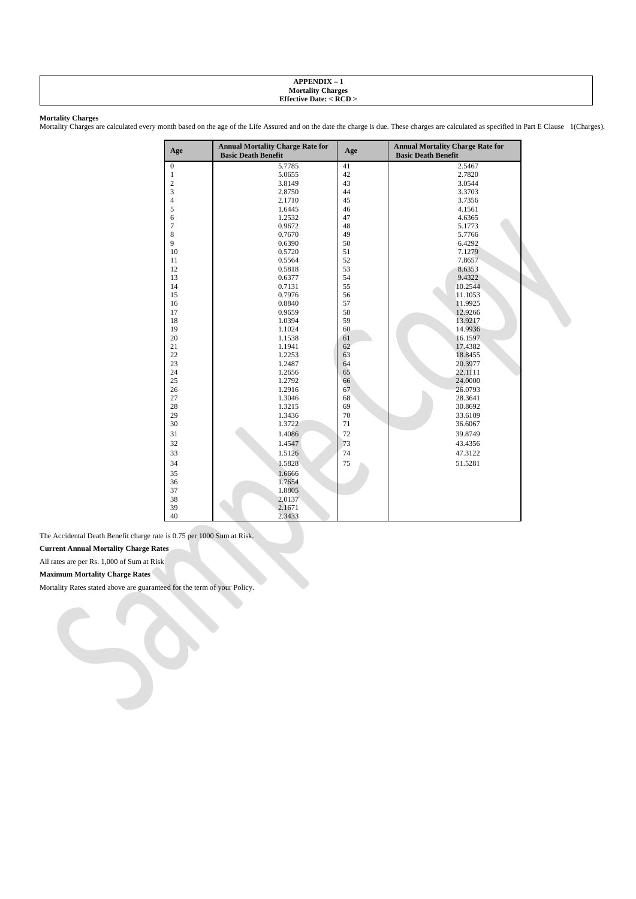## **APPENDIX – 1 Mortality Charges Effective Date: < RCD >**

## **Mortality Charges**

Mortality Charges are calculated every month based on the age of the Life Assured and on the date the charge is due. These charges are calculated as specified in Part E Clause 1(Charges).

| Age              | <b>Annual Mortality Charge Rate for</b><br><b>Basic Death Benefit</b> | Age | <b>Annual Mortality Charge Rate for</b><br><b>Basic Death Benefit</b> |
|------------------|-----------------------------------------------------------------------|-----|-----------------------------------------------------------------------|
| $\boldsymbol{0}$ | 5.7785                                                                | 41  | 2.5467                                                                |
| $\mathbf{1}$     | 5.0655                                                                | 42  | 2.7820                                                                |
| $\overline{c}$   | 3.8149                                                                | 43  | 3.0544                                                                |
| 3                | 2.8750                                                                | 44  | 3.3703                                                                |
| 4                | 2.1710                                                                | 45  | 3.7356                                                                |
| 5                | 1.6445                                                                | 46  | 4.1561                                                                |
| 6                | 1.2532                                                                | 47  | 4.6365                                                                |
| 7                | 0.9672                                                                | 48  | 5.1773                                                                |
| 8                | 0.7670                                                                | 49  | 5.7766                                                                |
| 9                | 0.6390                                                                | 50  | 6.4292                                                                |
| 10               | 0.5720                                                                | 51  | 7.1279                                                                |
| 11               | 0.5564                                                                | 52  | 7.8657                                                                |
| 12               | 0.5818                                                                | 53  | 8.6353                                                                |
| 13               | 0.6377                                                                | 54  | 9.4322                                                                |
| 14               | 0.7131                                                                | 55  | 10.2544                                                               |
| 15               | 0.7976                                                                | 56  | 11.1053                                                               |
| 16               | 0.8840                                                                | 57  | 11.9925                                                               |
| 17               | 0.9659                                                                | 58  | 12.9266                                                               |
| 18               | 1.0394                                                                | 59  | 13.9217                                                               |
| 19               | 1.1024                                                                | 60  | 14.9936                                                               |
| 20               | 1.1538                                                                | 61  | 16.1597                                                               |
| 21               | 1.1941                                                                | 62  | 17.4382                                                               |
| 22               | 1.2253                                                                | 63  | 18.8455                                                               |
| 23               | 1.2487                                                                | 64  | 20.3977                                                               |
| 24               | 1.2656                                                                | 65  | 22.1111                                                               |
| 25               | 1.2792                                                                | 66  | 24.0000                                                               |
| 26               | 1.2916                                                                | 67  | 26.0793                                                               |
| 27               | 1.3046                                                                | 68  | 28.3641                                                               |
| 28               | 1.3215                                                                | 69  | 30.8692                                                               |
| 29               | 1.3436                                                                | 70  | 33.6109                                                               |
| 30               | 1.3722                                                                | 71  | 36.6067                                                               |
| 31               | 1.4086                                                                | 72  | 39.8749                                                               |
| 32               | 1.4547                                                                | 73  | 43.4356                                                               |
| 33               | 1.5126                                                                | 74  | 47.3122                                                               |
| 34               | 1.5828                                                                | 75  | 51.5281                                                               |
| 35               | 1.6666                                                                |     |                                                                       |
| 36               | 1.7654                                                                |     |                                                                       |
| 37               | 1.8805                                                                |     |                                                                       |
| 38               | 2.0137                                                                |     |                                                                       |
| 39               | 2.1671                                                                |     |                                                                       |
| 40               | 2.3433                                                                |     |                                                                       |

The Accidental Death Benefit charge rate is 0.75 per 1000 Sum at Risk.

**Current Annual Mortality Charge Rates**

All rates are per Rs. 1,000 of Sum at Risk

**Maximum Mortality Charge Rates**

Mortality Rates stated above are guaranteed for the term of your Policy.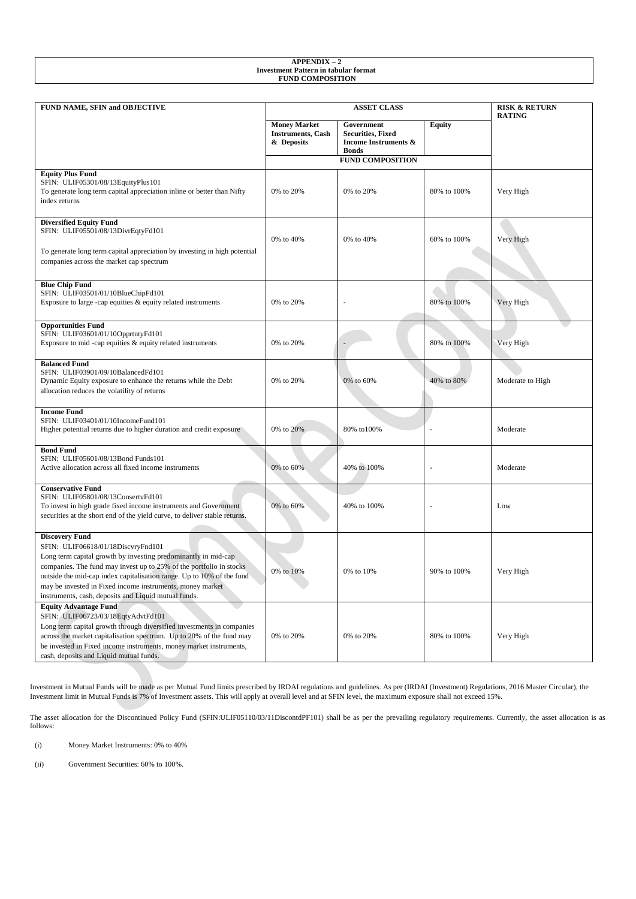| <b>APPENDIX</b><br>$\overline{\phantom{0}}$ |  |
|---------------------------------------------|--|
| Investment Pattern in tabular format        |  |
| <b>FUND COMPOSITION</b>                     |  |
|                                             |  |

| FUND NAME, SFIN and OBJECTIVE                                                                                                                                                                                                                                                                                                                                                                      |                                                                | <b>RISK &amp; RETURN</b><br><b>RATING</b>                                                 |               |                  |
|----------------------------------------------------------------------------------------------------------------------------------------------------------------------------------------------------------------------------------------------------------------------------------------------------------------------------------------------------------------------------------------------------|----------------------------------------------------------------|-------------------------------------------------------------------------------------------|---------------|------------------|
|                                                                                                                                                                                                                                                                                                                                                                                                    | <b>Money Market</b><br><b>Instruments</b> , Cash<br>& Deposits | Government<br><b>Securities, Fixed</b><br><b>Income Instruments &amp;</b><br><b>Bonds</b> | <b>Equity</b> |                  |
|                                                                                                                                                                                                                                                                                                                                                                                                    |                                                                | <b>FUND COMPOSITION</b>                                                                   |               |                  |
| <b>Equity Plus Fund</b><br>SFIN: ULIF05301/08/13EquityPlus101<br>To generate long term capital appreciation inline or better than Nifty<br>index returns                                                                                                                                                                                                                                           | 0% to 20%                                                      | 0% to 20%                                                                                 | 80% to 100%   | Very High        |
| <b>Diversified Equity Fund</b><br>SFIN: ULIF05501/08/13DivrEqtyFd101<br>To generate long term capital appreciation by investing in high potential<br>companies across the market cap spectrum                                                                                                                                                                                                      | 0% to 40%                                                      | 0% to 40%                                                                                 | 60% to 100%   | Very High        |
|                                                                                                                                                                                                                                                                                                                                                                                                    |                                                                |                                                                                           |               |                  |
| <b>Blue Chip Fund</b><br>SFIN: ULIF03501/01/10BlueChipFd101<br>Exposure to large -cap equities & equity related instruments                                                                                                                                                                                                                                                                        | 0% to 20%                                                      | ÷,                                                                                        | 80% to 100%   | Very High        |
| <b>Opportunities Fund</b><br>SFIN: ULIF03601/01/10OpprtntyFd101<br>Exposure to mid-cap equities $\&$ equity related instruments                                                                                                                                                                                                                                                                    | 0% to 20%                                                      |                                                                                           | 80% to 100%   | Very High        |
| <b>Balanced Fund</b><br>SFIN: ULIF03901/09/10BalancedFd101<br>Dynamic Equity exposure to enhance the returns while the Debt<br>allocation reduces the volatility of returns                                                                                                                                                                                                                        | 0% to 20%                                                      | 0% to 60%                                                                                 | 40% to 80%    | Moderate to High |
| <b>Income Fund</b><br>SFIN: ULIF03401/01/10IncomeFund101<br>Higher potential returns due to higher duration and credit exposure                                                                                                                                                                                                                                                                    | 0% to 20%                                                      | 80% to 100%                                                                               |               | Moderate         |
| <b>Bond Fund</b><br>SFIN: ULIF05601/08/13Bond Funds101<br>Active allocation across all fixed income instruments                                                                                                                                                                                                                                                                                    | 0% to 60%                                                      | 40% to 100%                                                                               |               | Moderate         |
| <b>Conservative Fund</b><br>SFIN: ULIF05801/08/13ConsertvFd101<br>To invest in high grade fixed income instruments and Government<br>securities at the short end of the yield curve, to deliver stable returns.                                                                                                                                                                                    | 0% to 60%                                                      | 40% to 100%                                                                               |               | Low              |
| <b>Discovery Fund</b><br>SFIN: ULIF06618/01/18DiscvryFnd101<br>Long term capital growth by investing predominantly in mid-cap<br>companies. The fund may invest up to 25% of the portfolio in stocks<br>outside the mid-cap index capitalisation range. Up to 10% of the fund<br>may be invested in Fixed income instruments, money market<br>instruments, cash, deposits and Liquid mutual funds. | 0% to 10%                                                      | 0% to 10%                                                                                 | 90% to 100%   | Very High        |
| <b>Equity Advantage Fund</b><br>SFIN: ULIF06723/03/18EqtyAdvtFd101<br>Long term capital growth through diversified investments in companies<br>across the market capitalisation spectrum. Up to 20% of the fund may<br>be invested in Fixed income instruments, money market instruments,<br>cash, deposits and Liquid mutual funds.                                                               | 0% to 20%                                                      | 0% to 20%                                                                                 | 80% to 100%   | Very High        |

Investment in Mutual Funds will be made as per Mutual Fund limits prescribed by IRDAI regulations and guidelines. As per (IRDAI (Investment) Regulations, 2016 Master Circular), the Investment limit in Mutual Funds is 7% of Investment assets. This will apply at overall level and at SFIN level, the maximum exposure shall not exceed 15%.

The asset allocation for the Discontinued Policy Fund (SFIN:ULIF05110/03/11DiscontdPF101) shall be as per the prevailing regulatory requirements. Currently, the asset allocation is as follows:

(i) Money Market Instruments: 0% to 40%

(ii) Government Securities: 60% to 100%.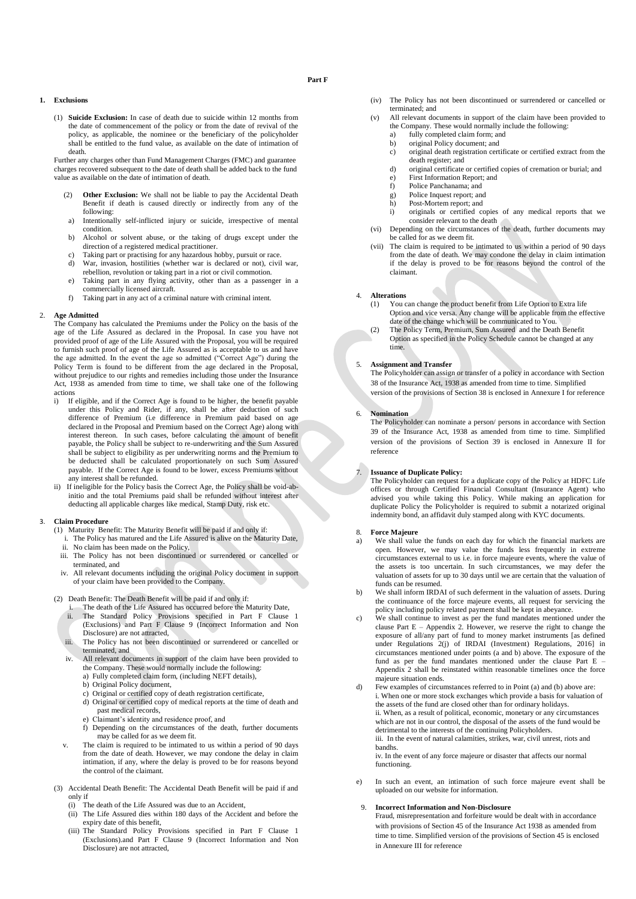## **Part F**

### **1. Exclusions**

(1) **Suicide Exclusion:** In case of death due to suicide within 12 months from the date of commencement of the policy or from the date of revival of the policy, as applicable, the nominee or the beneficiary of the policyholder shall be entitled to the fund value, as available on the date of intimation of death.

Further any charges other than Fund Management Charges (FMC) and guarantee charges recovered subsequent to the date of death shall be added back to the fund value as available on the date of intimation of death.

- Other Exclusion: We shall not be liable to pay the Accidental Death Benefit if death is caused directly or indirectly from any of the following:
- a) Intentionally self-inflicted injury or suicide, irrespective of mental condition.
- b) Alcohol or solvent abuse, or the taking of drugs except under the direction of a registered medical practitioner.
- c) Taking part or practising for any hazardous hobby, pursuit or race.<br>d) War, invasion, hostilities (whether war is declared or not), civil
- War, invasion, hostilities (whether war is declared or not), civil war, rebellion, revolution or taking part in a riot or civil commotion.
- e) Taking part in any flying activity, other than as a passenger in a commercially licensed aircraft.
- f) Taking part in any act of a criminal nature with criminal intent.

#### 2. **Age Admitted**

The Company has calculated the Premiums under the Policy on the basis of the age of the Life Assured as declared in the Proposal. In case you have not provided proof of age of the Life Assured with the Proposal, you will be required to furnish such proof of age of the Life Assured as is acceptable to us and have the age admitted. In the event the age so admitted ("Correct Age") during the Policy Term is found to be different from the age declared in the Proposal, without prejudice to our rights and remedies including those under the Insurance Act, 1938 as amended from time to time, we shall take one of the following actions<br>i) If

- If eligible, and if the Correct Age is found to be higher, the benefit payable under this Policy and Rider, if any, shall be after deduction of such difference of Premium (i.e difference in Premium paid based on age declared in the Proposal and Premium based on the Correct Age) along with interest thereon. In such cases, before calculating the amount of benefit payable, the Policy shall be subject to re-underwriting and the Sum Assured shall be subject to eligibility as per underwriting norms and the Premium to be deducted shall be calculated proportionately on such Sum Assured payable. If the Correct Age is found to be lower, excess Premiums without any interest shall be refunded.
- ii) If ineligible for the Policy basis the Correct Age, the Policy shall be void-abinitio and the total Premiums paid shall be refunded without interest after deducting all applicable charges like medical, Stamp Duty, risk etc.

#### 3. **Claim Procedure**

- (1) Maturity Benefit: The Maturity Benefit will be paid if and only if:
	- i. The Policy has matured and the Life Assured is alive on the Maturity Date, ii. No claim has been made on the Policy,
	-
- iii. The Policy has not been discontinued or surrendered or cancelled or terminated, and
- iv. All relevant documents including the original Policy document in support of your claim have been provided to the Company.
- (2) Death Benefit: The Death Benefit will be paid if and only if:
	- The death of the Life Assured has occurred before the Maturity Date, ii. The Standard Policy Provisions specified in Part F Clause 1 (Exclusions) and Part F Clause 9 (Incorrect Information and Non Disclosure) are not attracted,
	- iii. The Policy has not been discontinued or surrendered or cancelled or terminated, and
	- iv. All relevant documents in support of the claim have been provided to the Company. These would normally include the following: a) Fully completed claim form, (including NEFT details),
		- b) Original Policy document,
		- c) Original or certified copy of death registration certificate,
		- d) Original or certified copy of medical reports at the time of death and past medical records,
		- e) Claimant's identity and residence proof, and
		- f) Depending on the circumstances of the death, further documents may be called for as we deem fit.
	- v. The claim is required to be intimated to us within a period of 90 days from the date of death. However, we may condone the delay in claim intimation, if any, where the delay is proved to be for reasons beyond the control of the claimant.
- (3) Accidental Death Benefit: The Accidental Death Benefit will be paid if and only if
	- (i) The death of the Life Assured was due to an Accident,
	- (ii) The Life Assured dies within 180 days of the Accident and before the expiry date of this benefit,
	- (iii) The Standard Policy Provisions specified in Part F Clause 1 (Exclusions).and Part F Clause 9 (Incorrect Information and Non Disclosure) are not attracted,
- (iv) The Policy has not been discontinued or surrendered or cancelled or terminated; and
- (v) All relevant documents in support of the claim have been provided to the Company. These would normally include the following:
	- a) fully completed claim form; and
	- b) original Policy document; and
	- c) original death registration certificate or certified extract from the death register; and
	- d) original certificate or certified copies of cremation or burial; and
	- e) First Information Report; and
	- f) Police Panchanama; and
	- g) Police Inquest report; and<br>h) Post-Mortem report; and Post-Mortem report; and
	- i) originals or certified copies of any medical reports that we consider relevant to the death
- (vi) Depending on the circumstances of the death, further documents may be called for as we deem fit.
- (vii) The claim is required to be intimated to us within a period of 90 days from the date of death. We may condone the delay in claim intimation if the delay is proved to be for reasons beyond the control of the claimant.

## 4. **Alterations**

- (1) You can change the product benefit from Life Option to Extra life Option and vice versa. Any change will be applicable from the effective date of the change which will be communicated to You.
- (2) The Policy Term, Premium, Sum Assured and the Death Benefit Option as specified in the Policy Schedule cannot be changed at any time.

#### 5. **Assignment and Transfer**

The Policyholder can assign or transfer of a policy in accordance with Section 38 of the Insurance Act, 1938 as amended from time to time. Simplified version of the provisions of Section 38 is enclosed in Annexure I for reference

## 6. **Nomination**

The Policyholder can nominate a person/ persons in accordance with Section 39 of the Insurance Act, 1938 as amended from time to time. Simplified version of the provisions of Section 39 is enclosed in Annexure II for reference

## 7. **Issuance of Duplicate Policy:**

The Policyholder can request for a duplicate copy of the Policy at HDFC Life offices or through Certified Financial Consultant (Insurance Agent) who advised you while taking this Policy. While making an application for duplicate Policy the Policyholder is required to submit a notarized original indemnity bond, an affidavit duly stamped along with KYC documents.

#### 8. **Force Majeure**

- a) We shall value the funds on each day for which the financial markets are open. However, we may value the funds less frequently in extreme circumstances external to us i.e. in force majeure events, where the value of the assets is too uncertain. In such circumstances, we may defer the valuation of assets for up to 30 days until we are certain that the valuation of funds can be resumed.
- b) We shall inform IRDAI of such deferment in the valuation of assets. During the continuance of the force majeure events, all request for servicing the policy including policy related payment shall be kept in abeyance.
- c) We shall continue to invest as per the fund mandates mentioned under the clause Part  $E$  – Appendix 2. However, we reserve the right to change the exposure of all/any part of fund to money market instruments [as defined under Regulations 2(j) of IRDAI (Investment) Regulations, 2016] in circumstances mentioned under points (a and b) above. The exposure of the fund as per the fund mandates mentioned under the clause Part E – Appendix 2 shall be reinstated within reasonable timelines once the force majeure situation ends.

d) Few examples of circumstances referred to in Point (a) and (b) above are: i. When one or more stock exchanges which provide a basis for valuation of the assets of the fund are closed other than for ordinary holidays. ii. When, as a result of political, economic, monetary or any circumstances which are not in our control, the disposal of the assets of the fund would be detrimental to the interests of the continuing Policyholders. iii. In the event of natural calamities, strikes, war, civil unrest, riots and bandhs. iv. In the event of any force majeure or disaster that affects our normal functioning.

e) In such an event, an intimation of such force majeure event shall be uploaded on our website for information.

#### 9. **Incorrect Information and Non-Disclosure**

Fraud, misrepresentation and forfeiture would be dealt with in accordance with provisions of Section 45 of the Insurance Act 1938 as amended from time to time. Simplified version of the provisions of Section 45 is enclosed in Annexure III for reference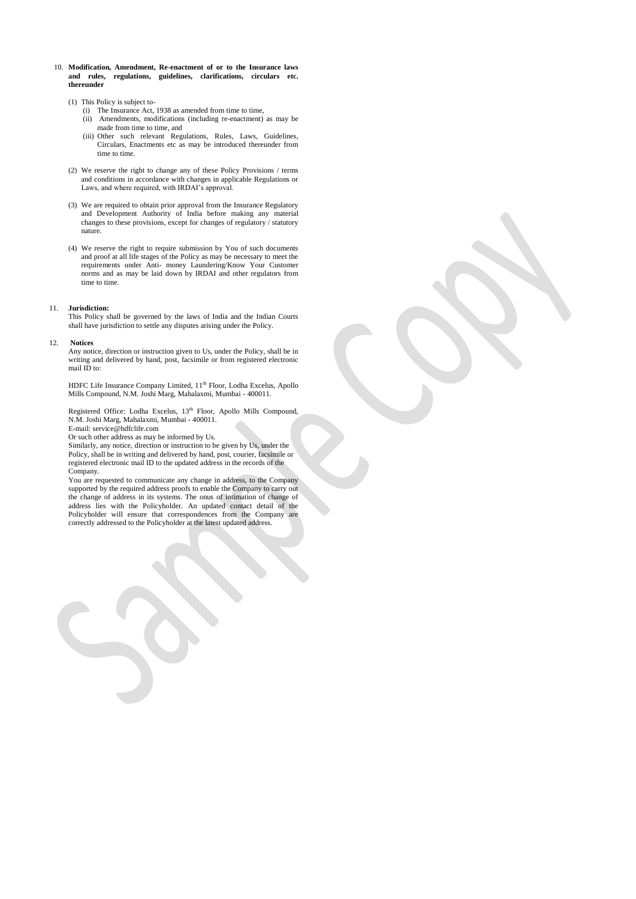- 10. **Modification, Amendment, Re-enactment of or to the Insurance laws and rules, regulations, guidelines, clarifications, circulars etc. thereunder** 
	- (1) This Policy is subject to-
		- (i) The Insurance Act, 1938 as amended from time to time, (ii) Amendments, modifications (including re-enactment) as may be
		- made from time to time, and (iii) Other such relevant Regulations, Rules, Laws, Guidelines, Circulars, Enactments etc as may be introduced thereunder from time to time.
	- (2) We reserve the right to change any of these Policy Provisions / terms and conditions in accordance with changes in applicable Regulations or Laws, and where required, with IRDAI's approval.
	- (3) We are required to obtain prior approval from the Insurance Regulatory and Development Authority of India before making any material changes to these provisions, except for changes of regulatory / statutory nature.
	- (4) We reserve the right to require submission by You of such documents and proof at all life stages of the Policy as may be necessary to meet the requirements under Anti- money Laundering/Know Your Customer norms and as may be laid down by IRDAI and other regulators from time to time.

## 11. **Jurisdiction:**

This Policy shall be governed by the laws of India and the Indian Courts shall have jurisdiction to settle any disputes arising under the Policy.

#### 12. **Notices**

Any notice, direction or instruction given to Us, under the Policy, shall be in writing and delivered by hand, post, facsimile or from registered electronic mail ID to:

HDFC Life Insurance Company Limited,  $11<sup>th</sup>$  Floor, Lodha Excelus, Apollo Mills Compound, N.M. Joshi Marg, Mahalaxmi, Mumbai - 400011.

Registered Office: Lodha Excelus, 13<sup>th</sup> Floor, Apollo Mills Compound, N.M. Joshi Marg, Mahalaxmi, Mumbai - 400011.

E-mail: service@hdfclife.com

Or such other address as may be informed by Us.

Similarly, any notice, direction or instruction to be given by Us, under the Policy, shall be in writing and delivered by hand, post, courier, facsimile or registered electronic mail ID to the updated address in the records of the Company.

You are requested to communicate any change in address, to the Company supported by the required address proofs to enable the Company to carry out the change of address in its systems. The onus of intimation of change of address lies with the Policyholder. An updated contact detail of the Policyholder will ensure that correspondences from the Company are correctly addressed to the Policyholder at the latest updated address.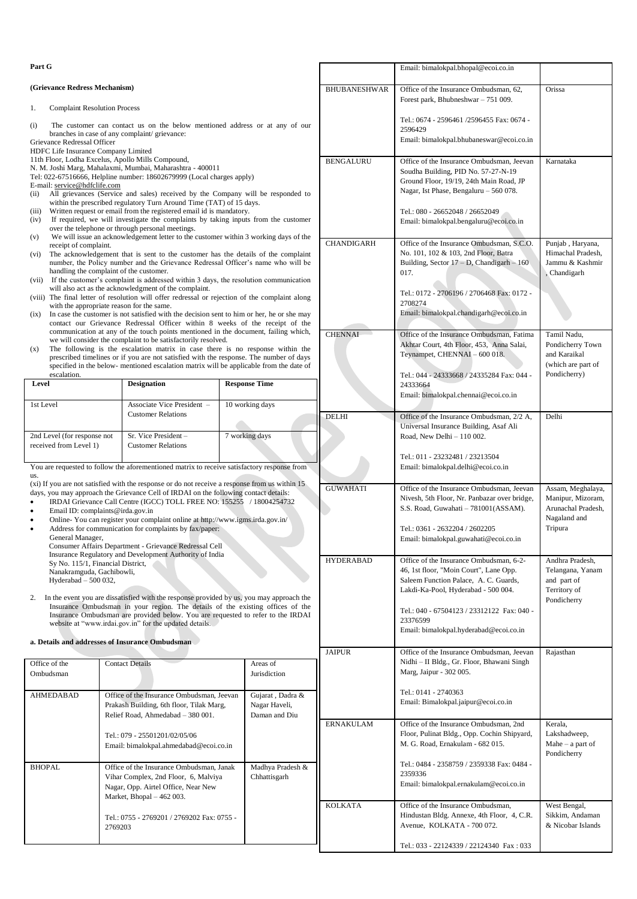| Part G                                                                                                                                                                                                                                                                                                                                                                                                                                                                                                                                                                                                                                                                                                                                                                                                                                                                                                                                                                                                                                                                                                                                                                                                                                                                                                                                                                                                                                                                                                                                                                                                  |                                                                                                                                                      |                                                                    |                                                                                                                                                                                                              | Email: bimalokpal.bhopal@ecoi.co.in                                                                                                                                                                                                                                   |                                                                                   |
|---------------------------------------------------------------------------------------------------------------------------------------------------------------------------------------------------------------------------------------------------------------------------------------------------------------------------------------------------------------------------------------------------------------------------------------------------------------------------------------------------------------------------------------------------------------------------------------------------------------------------------------------------------------------------------------------------------------------------------------------------------------------------------------------------------------------------------------------------------------------------------------------------------------------------------------------------------------------------------------------------------------------------------------------------------------------------------------------------------------------------------------------------------------------------------------------------------------------------------------------------------------------------------------------------------------------------------------------------------------------------------------------------------------------------------------------------------------------------------------------------------------------------------------------------------------------------------------------------------|------------------------------------------------------------------------------------------------------------------------------------------------------|--------------------------------------------------------------------|--------------------------------------------------------------------------------------------------------------------------------------------------------------------------------------------------------------|-----------------------------------------------------------------------------------------------------------------------------------------------------------------------------------------------------------------------------------------------------------------------|-----------------------------------------------------------------------------------|
| (Grievance Redress Mechanism)                                                                                                                                                                                                                                                                                                                                                                                                                                                                                                                                                                                                                                                                                                                                                                                                                                                                                                                                                                                                                                                                                                                                                                                                                                                                                                                                                                                                                                                                                                                                                                           |                                                                                                                                                      | <b>BHUBANESHWAR</b>                                                | Office of the Insurance Ombudsman, 62,<br>Forest park, Bhubneshwar - 751 009.                                                                                                                                | Orissa                                                                                                                                                                                                                                                                |                                                                                   |
| <b>Complaint Resolution Process</b><br>1.                                                                                                                                                                                                                                                                                                                                                                                                                                                                                                                                                                                                                                                                                                                                                                                                                                                                                                                                                                                                                                                                                                                                                                                                                                                                                                                                                                                                                                                                                                                                                               |                                                                                                                                                      |                                                                    |                                                                                                                                                                                                              |                                                                                                                                                                                                                                                                       |                                                                                   |
| The customer can contact us on the below mentioned address or at any of our<br>(i)<br>branches in case of any complaint/ grievance:<br>Grievance Redressal Officer<br>HDFC Life Insurance Company Limited<br>11th Floor, Lodha Excelus, Apollo Mills Compound,<br>N. M. Joshi Marg, Mahalaxmi, Mumbai, Maharashtra - 400011<br>Tel: 022-67516666, Helpline number: 18602679999 (Local charges apply)<br>E-mail: service@hdfclife.com<br>All grievances (Service and sales) received by the Company will be responded to<br>(ii)<br>within the prescribed regulatory Turn Around Time (TAT) of 15 days.<br>Written request or email from the registered email id is mandatory.<br>(iii)<br>If required, we will investigate the complaints by taking inputs from the customer<br>(iv)<br>over the telephone or through personal meetings.<br>We will issue an acknowledgement letter to the customer within 3 working days of the<br>(v)<br>receipt of complaint.<br>The acknowledgement that is sent to the customer has the details of the complaint<br>(vi)<br>number, the Policy number and the Grievance Redressal Officer's name who will be<br>handling the complaint of the customer.<br>(vii) If the customer's complaint is addressed within 3 days, the resolution communication<br>will also act as the acknowledgment of the complaint.<br>(viii) The final letter of resolution will offer redressal or rejection of the complaint along<br>with the appropriate reason for the same.<br>In case the customer is not satisfied with the decision sent to him or her, he or she may<br>(ix) |                                                                                                                                                      |                                                                    |                                                                                                                                                                                                              | Tel.: 0674 - 2596461 /2596455 Fax: 0674 -<br>2596429<br>Email: bimalokpal.bhubaneswar@ecoi.co.in                                                                                                                                                                      |                                                                                   |
|                                                                                                                                                                                                                                                                                                                                                                                                                                                                                                                                                                                                                                                                                                                                                                                                                                                                                                                                                                                                                                                                                                                                                                                                                                                                                                                                                                                                                                                                                                                                                                                                         |                                                                                                                                                      |                                                                    | <b>BENGALURU</b>                                                                                                                                                                                             | Office of the Insurance Ombudsman, Jeevan<br>Soudha Building, PID No. 57-27-N-19<br>Ground Floor, 19/19, 24th Main Road, JP<br>Nagar, Ist Phase, Bengaluru – 560 078.<br>Tel.: 080 - 26652048 / 26652049<br>Email: bimalokpal.bengaluru@ecoi.co.in                    | Karnataka                                                                         |
|                                                                                                                                                                                                                                                                                                                                                                                                                                                                                                                                                                                                                                                                                                                                                                                                                                                                                                                                                                                                                                                                                                                                                                                                                                                                                                                                                                                                                                                                                                                                                                                                         |                                                                                                                                                      |                                                                    | CHANDIGARH                                                                                                                                                                                                   | Office of the Insurance Ombudsman, S.C.O.<br>No. 101, 102 & 103, 2nd Floor, Batra<br>Building, Sector $17 - D$ , Chandigarh $- 160$<br>017.<br>Tel.: 0172 - 2706196 / 2706468 Fax: 0172 -<br>2708274<br>Email: bimalokpal.chandigarh@ecoi.co.in                       | Punjab, Haryana,<br>Himachal Pradesh,<br>Jammu & Kashmir<br>Chandigarh            |
| contact our Grievance Redressal Officer within 8 weeks of the receipt of the<br>communication at any of the touch points mentioned in the document, failing which,<br>we will consider the complaint to be satisfactorily resolved.<br>The following is the escalation matrix in case there is no response within the<br>(x)<br>prescribed timelines or if you are not satisfied with the response. The number of days<br>specified in the below- mentioned escalation matrix will be applicable from the date of<br>escalation.                                                                                                                                                                                                                                                                                                                                                                                                                                                                                                                                                                                                                                                                                                                                                                                                                                                                                                                                                                                                                                                                        |                                                                                                                                                      | <b>CHENNAI</b>                                                     | Office of the Insurance Ombudsman, Fatima<br>Akhtar Court, 4th Floor, 453, Anna Salai,<br>Teynampet, CHENNAI - 600 018.<br>Tel.: 044 - 24333668 / 24335284 Fax: 044 -                                        | Tamil Nadu,<br>Pondicherry Town<br>and Karaikal<br>(which are part of<br>Pondicherry)                                                                                                                                                                                 |                                                                                   |
| Level                                                                                                                                                                                                                                                                                                                                                                                                                                                                                                                                                                                                                                                                                                                                                                                                                                                                                                                                                                                                                                                                                                                                                                                                                                                                                                                                                                                                                                                                                                                                                                                                   | <b>Designation</b>                                                                                                                                   | <b>Response Time</b>                                               |                                                                                                                                                                                                              | 24333664<br>Email: bimalokpal.chennai@ecoi.co.in                                                                                                                                                                                                                      |                                                                                   |
| 1st Level                                                                                                                                                                                                                                                                                                                                                                                                                                                                                                                                                                                                                                                                                                                                                                                                                                                                                                                                                                                                                                                                                                                                                                                                                                                                                                                                                                                                                                                                                                                                                                                               | Associate Vice President -<br><b>Customer Relations</b>                                                                                              | 10 working days                                                    | <b>DELHI</b>                                                                                                                                                                                                 | Office of the Insurance Ombudsman, 2/2 A,<br>Universal Insurance Building, Asaf Ali                                                                                                                                                                                   | Delhi                                                                             |
| 7 working days<br>2nd Level (for response not<br>Sr. Vice President -<br>received from Level 1)<br><b>Customer Relations</b><br>You are requested to follow the aforementioned matrix to receive satisfactory response from                                                                                                                                                                                                                                                                                                                                                                                                                                                                                                                                                                                                                                                                                                                                                                                                                                                                                                                                                                                                                                                                                                                                                                                                                                                                                                                                                                             |                                                                                                                                                      |                                                                    | Road, New Delhi - 110 002.<br>Tel.: 011 - 23232481 / 23213504<br>Email: bimalokpal.delhi@ecoi.co.in                                                                                                          |                                                                                                                                                                                                                                                                       |                                                                                   |
| us.<br>(xi) If you are not satisfied with the response or do not receive a response from us within 15<br>days, you may approach the Grievance Cell of IRDAI on the following contact details:<br>IRDAI Grievance Call Centre (IGCC) TOLL FREE NO: 155255 / 18004254732<br>$\bullet$<br>Email ID: complaints@irda.gov.in<br>Online-You can register your complaint online at http://www.igms.irda.gov.in/<br>Address for communication for complaints by fax/paper:<br>$\bullet$<br>General Manager,<br>Consumer Affairs Department - Grievance Redressal Cell                                                                                                                                                                                                                                                                                                                                                                                                                                                                                                                                                                                                                                                                                                                                                                                                                                                                                                                                                                                                                                           |                                                                                                                                                      | <b>GUWAHATI</b>                                                    | Office of the Insurance Ombudsman, Jeevan<br>Nivesh, 5th Floor, Nr. Panbazar over bridge,<br>S.S. Road, Guwahati - 781001(ASSAM).<br>Tel.: 0361 - 2632204 / 2602205<br>Email: bimalokpal.guwahati@ecoi.co.in | Assam, Meghalaya,<br>Manipur, Mizoram,<br>Arunachal Pradesh,<br>Nagaland and<br>Tripura                                                                                                                                                                               |                                                                                   |
| Insurance Regulatory and Development Authority of India<br>Sy No. 115/1, Financial District,<br>Nanakramguda, Gachibowli,<br>Hyderabad - 500 032,<br>In the event you are dissatisfied with the response provided by us, you may approach the<br>2.<br>Insurance Ombudsman in your region. The details of the existing offices of the<br>Insurance Ombudsman are provided below. You are requested to refer to the IRDAI<br>website at "www.irdai.gov.in" for the updated details.                                                                                                                                                                                                                                                                                                                                                                                                                                                                                                                                                                                                                                                                                                                                                                                                                                                                                                                                                                                                                                                                                                                      |                                                                                                                                                      |                                                                    | <b>HYDERABAD</b>                                                                                                                                                                                             | Office of the Insurance Ombudsman, 6-2-<br>46, 1st floor, "Moin Court", Lane Opp.<br>Saleem Function Palace, A. C. Guards,<br>Lakdi-Ka-Pool, Hyderabad - 500 004.<br>Tel.: 040 - 67504123 / 23312122 Fax: 040 -<br>23376599<br>Email: bimalokpal.hyderabad@ecoi.co.in | Andhra Pradesh,<br>Telangana, Yanam<br>and part of<br>Territory of<br>Pondicherry |
| Office of the                                                                                                                                                                                                                                                                                                                                                                                                                                                                                                                                                                                                                                                                                                                                                                                                                                                                                                                                                                                                                                                                                                                                                                                                                                                                                                                                                                                                                                                                                                                                                                                           | a. Details and addresses of Insurance Ombudsman<br><b>Contact Details</b>                                                                            | Areas of                                                           | <b>JAIPUR</b>                                                                                                                                                                                                | Office of the Insurance Ombudsman, Jeevan<br>Nidhi - II Bldg., Gr. Floor, Bhawani Singh                                                                                                                                                                               | Rajasthan                                                                         |
| Ombudsman<br>AHMEDABAD                                                                                                                                                                                                                                                                                                                                                                                                                                                                                                                                                                                                                                                                                                                                                                                                                                                                                                                                                                                                                                                                                                                                                                                                                                                                                                                                                                                                                                                                                                                                                                                  | Office of the Insurance Ombudsman, Jeevan<br>Prakash Building, 6th floor, Tilak Marg,<br>Relief Road, Ahmedabad - 380 001.                           | Jurisdiction<br>Gujarat, Dadra &<br>Nagar Haveli,<br>Daman and Diu |                                                                                                                                                                                                              | Marg, Jaipur - 302 005.<br>Tel.: 0141 - 2740363<br>Email: Bimalokpal.jaipur@ecoi.co.in                                                                                                                                                                                |                                                                                   |
|                                                                                                                                                                                                                                                                                                                                                                                                                                                                                                                                                                                                                                                                                                                                                                                                                                                                                                                                                                                                                                                                                                                                                                                                                                                                                                                                                                                                                                                                                                                                                                                                         | Tel.: 079 - 25501201/02/05/06<br>Email: bimalokpal.ahmedabad@ecoi.co.in                                                                              |                                                                    | <b>ERNAKULAM</b>                                                                                                                                                                                             | Office of the Insurance Ombudsman, 2nd<br>Floor, Pulinat Bldg., Opp. Cochin Shipyard,<br>M. G. Road, Ernakulam - 682 015.                                                                                                                                             | Kerala,<br>Lakshadweep,<br>Mahe $-$ a part of<br>Pondicherry                      |
| <b>BHOPAL</b>                                                                                                                                                                                                                                                                                                                                                                                                                                                                                                                                                                                                                                                                                                                                                                                                                                                                                                                                                                                                                                                                                                                                                                                                                                                                                                                                                                                                                                                                                                                                                                                           | Office of the Insurance Ombudsman, Janak<br>Vihar Complex, 2nd Floor, 6, Malviya<br>Nagar, Opp. Airtel Office, Near New<br>Market, Bhopal - 462 003. | Madhya Pradesh &<br>Chhattisgarh                                   | <b>KOLKATA</b>                                                                                                                                                                                               | Tel.: 0484 - 2358759 / 2359338 Fax: 0484 -<br>2359336<br>Email: bimalokpal.ernakulam@ecoi.co.in<br>Office of the Insurance Ombudsman,                                                                                                                                 |                                                                                   |
|                                                                                                                                                                                                                                                                                                                                                                                                                                                                                                                                                                                                                                                                                                                                                                                                                                                                                                                                                                                                                                                                                                                                                                                                                                                                                                                                                                                                                                                                                                                                                                                                         | Tel.: 0755 - 2769201 / 2769202 Fax: 0755 -<br>2769203                                                                                                |                                                                    |                                                                                                                                                                                                              | Hindustan Bldg. Annexe, 4th Floor, 4, C.R.<br>Avenue, KOLKATA - 700 072.<br>Tel.: 033 - 22124339 / 22124340 Fax: 033                                                                                                                                                  | West Bengal,<br>Sikkim, Andaman<br>& Nicobar Islands                              |
|                                                                                                                                                                                                                                                                                                                                                                                                                                                                                                                                                                                                                                                                                                                                                                                                                                                                                                                                                                                                                                                                                                                                                                                                                                                                                                                                                                                                                                                                                                                                                                                                         |                                                                                                                                                      |                                                                    |                                                                                                                                                                                                              |                                                                                                                                                                                                                                                                       |                                                                                   |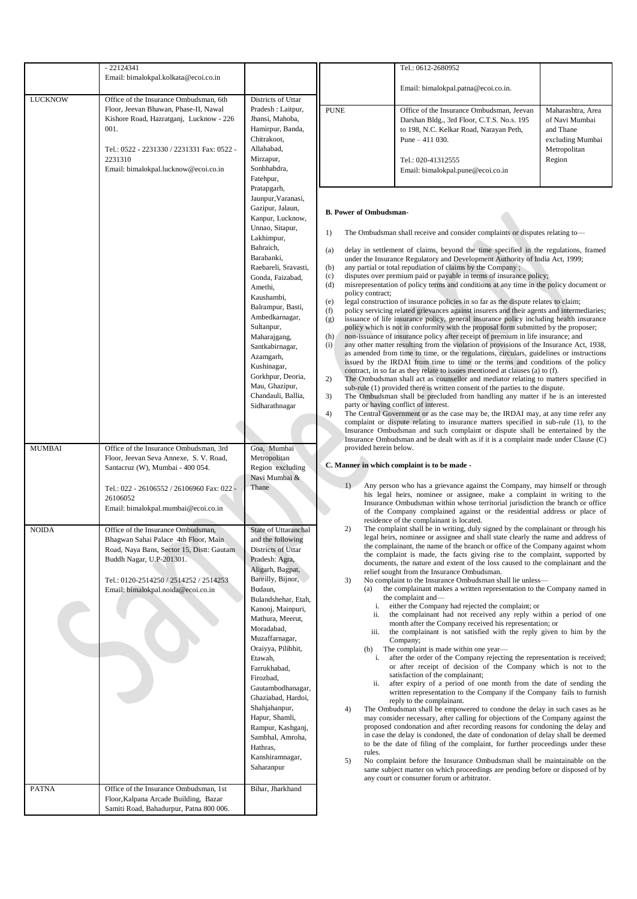|                              | $-22124341$                                                                                                                                                                                                                                                                   |                                                                                                                                                                                                                                                                                                                                                                                                                                                                                             | Tel.: 0612-2680952                                                                                                                                                                                                                                                                                                                                                                                                                                                                                                                                                                                                                                                                                                                                                                                                                                                                                                                                                                                                                                                                                                                                                                                                                                                                                                                                                                                                                                                                                                                                                                                                                                                                                                                                                                                                                                                                                                                                                                                                                                                                                                                                                                     |                                                                                                                                                                                                                                          |                                                                                                |  |
|------------------------------|-------------------------------------------------------------------------------------------------------------------------------------------------------------------------------------------------------------------------------------------------------------------------------|---------------------------------------------------------------------------------------------------------------------------------------------------------------------------------------------------------------------------------------------------------------------------------------------------------------------------------------------------------------------------------------------------------------------------------------------------------------------------------------------|----------------------------------------------------------------------------------------------------------------------------------------------------------------------------------------------------------------------------------------------------------------------------------------------------------------------------------------------------------------------------------------------------------------------------------------------------------------------------------------------------------------------------------------------------------------------------------------------------------------------------------------------------------------------------------------------------------------------------------------------------------------------------------------------------------------------------------------------------------------------------------------------------------------------------------------------------------------------------------------------------------------------------------------------------------------------------------------------------------------------------------------------------------------------------------------------------------------------------------------------------------------------------------------------------------------------------------------------------------------------------------------------------------------------------------------------------------------------------------------------------------------------------------------------------------------------------------------------------------------------------------------------------------------------------------------------------------------------------------------------------------------------------------------------------------------------------------------------------------------------------------------------------------------------------------------------------------------------------------------------------------------------------------------------------------------------------------------------------------------------------------------------------------------------------------------|------------------------------------------------------------------------------------------------------------------------------------------------------------------------------------------------------------------------------------------|------------------------------------------------------------------------------------------------|--|
|                              | Email: bimalokpal.kolkata@ecoi.co.in                                                                                                                                                                                                                                          |                                                                                                                                                                                                                                                                                                                                                                                                                                                                                             |                                                                                                                                                                                                                                                                                                                                                                                                                                                                                                                                                                                                                                                                                                                                                                                                                                                                                                                                                                                                                                                                                                                                                                                                                                                                                                                                                                                                                                                                                                                                                                                                                                                                                                                                                                                                                                                                                                                                                                                                                                                                                                                                                                                        |                                                                                                                                                                                                                                          |                                                                                                |  |
| <b>LUCKNOW</b>               | Office of the Insurance Ombudsman, 6th                                                                                                                                                                                                                                        | Districts of Uttar                                                                                                                                                                                                                                                                                                                                                                                                                                                                          |                                                                                                                                                                                                                                                                                                                                                                                                                                                                                                                                                                                                                                                                                                                                                                                                                                                                                                                                                                                                                                                                                                                                                                                                                                                                                                                                                                                                                                                                                                                                                                                                                                                                                                                                                                                                                                                                                                                                                                                                                                                                                                                                                                                        | Email: bimalokpal.patna@ecoi.co.in.                                                                                                                                                                                                      |                                                                                                |  |
|                              | Floor, Jeevan Bhawan, Phase-II, Nawal<br>Kishore Road, Hazratganj, Lucknow - 226<br>001.<br>Tel.: 0522 - 2231330 / 2231331 Fax: 0522 -<br>2231310<br>Email: bimalokpal.lucknow@ecoi.co.in                                                                                     | Pradesh : Laitpur,<br>Jhansi, Mahoba,<br>Hamirpur, Banda,<br>Chitrakoot,<br>Allahabad,<br>Mirzapur,<br>Sonbhabdra,<br>Fatehpur,                                                                                                                                                                                                                                                                                                                                                             | <b>PUNE</b>                                                                                                                                                                                                                                                                                                                                                                                                                                                                                                                                                                                                                                                                                                                                                                                                                                                                                                                                                                                                                                                                                                                                                                                                                                                                                                                                                                                                                                                                                                                                                                                                                                                                                                                                                                                                                                                                                                                                                                                                                                                                                                                                                                            | Office of the Insurance Ombudsman, Jeevan<br>Darshan Bldg., 3rd Floor, C.T.S. No.s. 195<br>to 198, N.C. Kelkar Road, Narayan Peth,<br>Pune $-411$ 030.<br>Tel.: 020-41312555<br>Email: bimalokpal.pune@ecoi.co.in                        | Maharashtra, Area<br>of Navi Mumbai<br>and Thane<br>excluding Mumbai<br>Metropolitan<br>Region |  |
| <b>MUMBAI</b>                | Office of the Insurance Ombudsman, 3rd<br>Floor, Jeevan Seva Annexe, S. V. Road,<br>Santacruz (W), Mumbai - 400 054.                                                                                                                                                          | Pratapgarh,<br>Jaunpur, Varanasi,<br>Gazipur, Jalaun,<br>Kanpur, Lucknow,<br>Unnao, Sitapur,<br>Lakhimpur,<br>Bahraich,<br>Barabanki,<br>Raebareli, Sravasti,<br>Gonda, Faizabad,<br>Amethi,<br>Kaushambi,<br>Balrampur, Basti,<br>Ambedkarnagar,<br>Sultanpur,<br>Maharajgang,<br>Santkabirnagar,<br>Azamgarh,<br>Kushinagar,<br>Gorkhpur, Deoria,<br>Mau, Ghazipur,<br>Chandauli, Ballia,<br>Sidharathnagar<br>Goa, Mumbai<br>Metropolitan<br>Region excluding<br>Navi Mumbai &           | <b>B. Power of Ombudsman-</b><br>The Ombudsman shall receive and consider complaints or disputes relating to-<br>1)<br>delay in settlement of claims, beyond the time specified in the regulations, framed<br>(a)<br>under the Insurance Regulatory and Development Authority of India Act, 1999;<br>any partial or total repudiation of claims by the Company;<br>(b)<br>disputes over premium paid or payable in terms of insurance policy;<br>(c)<br>(d)<br>misrepresentation of policy terms and conditions at any time in the policy document or<br>policy contract;<br>legal construction of insurance policies in so far as the dispute relates to claim;<br>(e)<br>policy servicing related grievances against insurers and their agents and intermediaries;<br>(f)<br>issuance of life insurance policy, general insurance policy including health insurance<br>(g)<br>policy which is not in conformity with the proposal form submitted by the proposer;<br>non-issuance of insurance policy after receipt of premium in life insurance; and<br>(h)<br>any other matter resulting from the violation of provisions of the Insurance Act, 1938,<br>(i)<br>as amended from time to time, or the regulations, circulars, guidelines or instructions<br>issued by the IRDAI from time to time or the terms and conditions of the policy<br>contract, in so far as they relate to issues mentioned at clauses (a) to (f).<br>2)<br>The Ombudsman shall act as counsellor and mediator relating to matters specified in<br>sub-rule (1) provided there is written consent of the parties to the dispute.<br>3)<br>The Ombudsman shall be precluded from handling any matter if he is an interested<br>party or having conflict of interest.<br>4)<br>The Central Government or as the case may be, the IRDAI may, at any time refer any<br>complaint or dispute relating to insurance matters specified in sub-rule (1), to the<br>Insurance Ombudsman and such complaint or dispute shall be entertained by the<br>Insurance Ombudsman and be dealt with as if it is a complaint made under Clause (C)<br>provided herein below.<br>C. Manner in which complaint is to be made - |                                                                                                                                                                                                                                          |                                                                                                |  |
|                              | Tel.: 022 - 26106552 / 26106960 Fax: 022 -<br>26106052<br>Email: bimalokpal.mumbai@ecoi.co.in                                                                                                                                                                                 | Thane                                                                                                                                                                                                                                                                                                                                                                                                                                                                                       | 1)                                                                                                                                                                                                                                                                                                                                                                                                                                                                                                                                                                                                                                                                                                                                                                                                                                                                                                                                                                                                                                                                                                                                                                                                                                                                                                                                                                                                                                                                                                                                                                                                                                                                                                                                                                                                                                                                                                                                                                                                                                                                                                                                                                                     | Any person who has a grievance against the Company, may himself or through<br>his legal heirs, nominee or assignee, make a complaint in writing to the<br>Insurance Ombudsman within whose territorial jurisdiction the branch or office |                                                                                                |  |
| <b>NOIDA</b><br><b>PATNA</b> | Office of the Insurance Ombudsman,<br>Bhagwan Sahai Palace 4th Floor, Main<br>Road, Naya Bans, Sector 15, Distt: Gautam<br>Buddh Nagar, U.P-201301.<br>Tel.: 0120-2514250 / 2514252 / 2514253<br>Email: bimalokpal.noida@ecoi.co.in<br>Office of the Insurance Ombudsman, 1st | State of Uttaranchal<br>and the following<br>Districts of Uttar<br>Pradesh: Agra,<br>Aligarh, Bagpat,<br>Bareilly, Bijnor,<br>Budaun,<br>Bulandshehar, Etah,<br>Kanooj, Mainpuri,<br>Mathura, Meerut,<br>Moradabad,<br>Muzaffarnagar,<br>Oraiyya, Pilibhit,<br>Etawah.<br>Farrukhabad,<br>Firozbad,<br>Gautambodhanagar,<br>Ghaziabad, Hardoi,<br>Shahjahanpur,<br>Hapur, Shamli,<br>Rampur, Kashganj,<br>Sambhal, Amroha,<br>Hathras,<br>Kanshiramnagar,<br>Saharanpur<br>Bihar, Jharkhand | of the Company complained against or the residential address or place of<br>residence of the complainant is located.<br>The complaint shall be in writing, duly signed by the complainant or through his<br>2)<br>legal heirs, nominee or assignee and shall state clearly the name and address of<br>the complainant, the name of the branch or office of the Company against whom<br>the complaint is made, the facts giving rise to the complaint, supported by<br>documents, the nature and extent of the loss caused to the complainant and the<br>relief sought from the Insurance Ombudsman.<br>3)<br>No complaint to the Insurance Ombudsman shall lie unless-<br>the complainant makes a written representation to the Company named in<br>(a)<br>the complaint and—<br>either the Company had rejected the complaint; or<br>i.<br>the complainant had not received any reply within a period of one<br>ii.<br>month after the Company received his representation; or<br>the complainant is not satisfied with the reply given to him by the<br>iii.<br>Company:<br>The complaint is made within one year-<br>(b)<br>after the order of the Company rejecting the representation is received;<br>i.<br>or after receipt of decision of the Company which is not to the<br>satisfaction of the complainant;<br>after expiry of a period of one month from the date of sending the<br>ii.<br>written representation to the Company if the Company fails to furnish<br>reply to the complainant.<br>The Ombudsman shall be empowered to condone the delay in such cases as he<br>4)<br>may consider necessary, after calling for objections of the Company against the<br>proposed condonation and after recording reasons for condoning the delay and<br>in case the delay is condoned, the date of condonation of delay shall be deemed<br>to be the date of filing of the complaint, for further proceedings under these<br>rules.<br>No complaint before the Insurance Ombudsman shall be maintainable on the<br>5)<br>same subject matter on which proceedings are pending before or disposed of by<br>any court or consumer forum or arbitrator.                          |                                                                                                                                                                                                                                          |                                                                                                |  |
|                              | Floor, Kalpana Arcade Building, Bazar<br>Samiti Road, Bahadurpur, Patna 800 006.                                                                                                                                                                                              |                                                                                                                                                                                                                                                                                                                                                                                                                                                                                             |                                                                                                                                                                                                                                                                                                                                                                                                                                                                                                                                                                                                                                                                                                                                                                                                                                                                                                                                                                                                                                                                                                                                                                                                                                                                                                                                                                                                                                                                                                                                                                                                                                                                                                                                                                                                                                                                                                                                                                                                                                                                                                                                                                                        |                                                                                                                                                                                                                                          |                                                                                                |  |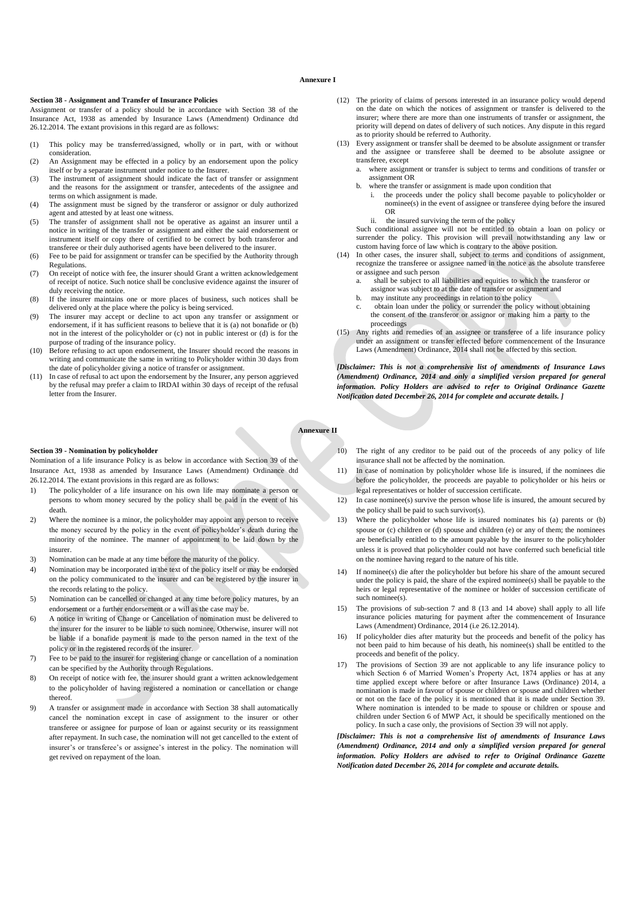### **Annexure I**

#### **Section 38 - Assignment and Transfer of Insurance Policies**

Assignment or transfer of a policy should be in accordance with Section 38 of the Insurance Act, 1938 as amended by Insurance Laws (Amendment) Ordinance dtd 26.12.2014. The extant provisions in this regard are as follows:

- (1) This policy may be transferred/assigned, wholly or in part, with or without consideration.
- (2) An Assignment may be effected in a policy by an endorsement upon the policy itself or by a separate instrument under notice to the Insurer.
- (3) The instrument of assignment should indicate the fact of transfer or assignment and the reasons for the assignment or transfer, antecedents of the assignee and terms on which assignment is made.
- (4) The assignment must be signed by the transferor or assignor or duly authorized agent and attested by at least one witness.
- (5) The transfer of assignment shall not be operative as against an insurer until a notice in writing of the transfer or assignment and either the said endorsement or instrument itself or copy there of certified to be correct by both transferor and transferee or their duly authorised agents have been delivered to the insurer.
- (6) Fee to be paid for assignment or transfer can be specified by the Authority through Regulations.
- (7) On receipt of notice with fee, the insurer should Grant a written acknowledgement of receipt of notice. Such notice shall be conclusive evidence against the insurer of duly receiving the notice.
- (8) If the insurer maintains one or more places of business, such notices shall be delivered only at the place where the policy is being serviced.
- (9) The insurer may accept or decline to act upon any transfer or assignment or endorsement, if it has sufficient reasons to believe that it is (a) not bonafide or (b) not in the interest of the policyholder or (c) not in public interest or (d) is for the purpose of trading of the insurance policy.
- (10) Before refusing to act upon endorsement, the Insurer should record the reasons in writing and communicate the same in writing to Policyholder within 30 days from the date of policyholder giving a notice of transfer or assignment.
- (11) In case of refusal to act upon the endorsement by the Insurer, any person aggrieved by the refusal may prefer a claim to IRDAI within 30 days of receipt of the refusal letter from the Insurer.

#### **Section 39 - Nomination by policyholder**

Nomination of a life insurance Policy is as below in accordance with Section 39 of the Insurance Act, 1938 as amended by Insurance Laws (Amendment) Ordinance dtd 26.12.2014. The extant provisions in this regard are as follows:

- 1) The policyholder of a life insurance on his own life may nominate a person or persons to whom money secured by the policy shall be paid in the event of his death.
- 2) Where the nominee is a minor, the policyholder may appoint any person to receive the money secured by the policy in the event of policyholder's death during the minority of the nominee. The manner of appointment to be laid down by the insurer.
- 3) Nomination can be made at any time before the maturity of the policy.
- 4) Nomination may be incorporated in the text of the policy itself or may be endorsed on the policy communicated to the insurer and can be registered by the insurer in the records relating to the policy.
- 5) Nomination can be cancelled or changed at any time before policy matures, by an endorsement or a further endorsement or a will as the case may be.
- 6) A notice in writing of Change or Cancellation of nomination must be delivered to the insurer for the insurer to be liable to such nominee. Otherwise, insurer will not be liable if a bonafide payment is made to the person named in the text of the policy or in the registered records of the insurer.
- 7) Fee to be paid to the insurer for registering change or cancellation of a nomination can be specified by the Authority through Regulations.
- 8) On receipt of notice with fee, the insurer should grant a written acknowledgement to the policyholder of having registered a nomination or cancellation or change thereof.
- 9) A transfer or assignment made in accordance with Section 38 shall automatically cancel the nomination except in case of assignment to the insurer or other transferee or assignee for purpose of loan or against security or its reassignment after repayment. In such case, the nomination will not get cancelled to the extent of insurer's or transferee's or assignee's interest in the policy. The nomination will get revived on repayment of the loan.
- (12) The priority of claims of persons interested in an insurance policy would depend on the date on which the notices of assignment or transfer is delivered to the insurer; where there are more than one instruments of transfer or assignment, the priority will depend on dates of delivery of such notices. Any dispute in this regard as to priority should be referred to Authority.
- (13) Every assignment or transfer shall be deemed to be absolute assignment or transfer and the assignee or transferee shall be deemed to be absolute assignee or transferee, except
	- a. where assignment or transfer is subject to terms and conditions of transfer or assignment OR
	- b. where the transfer or assignment is made upon condition that
		- the proceeds under the policy shall become payable to policyholder or nominee(s) in the event of assignee or transferee dying before the insured OR
		- ii. the insured surviving the term of the policy

Such conditional assignee will not be entitled to obtain a loan on policy or surrender the policy. This provision will prevail notwithstanding any law or custom having force of law which is contrary to the above position.

- (14) In other cases, the insurer shall, subject to terms and conditions of assignment, recognize the transferee or assignee named in the notice as the absolute transferee or assignee and such person
	- shall be subject to all liabilities and equities to which the transferor or assignor was subject to at the date of transfer or assignment and
	- b. may institute any proceedings in relation to the policy
	- c. obtain loan under the policy or surrender the policy without obtaining the consent of the transferor or assignor or making him a party to the proceedings
- (15) Any rights and remedies of an assignee or transferee of a life insurance policy under an assignment or transfer effected before commencement of the Insurance Laws (Amendment) Ordinance, 2014 shall not be affected by this section.

*[Disclaimer: This is not a comprehensive list of amendments of Insurance Laws (Amendment) Ordinance, 2014 and only a simplified version prepared for general information. Policy Holders are advised to refer to Original Ordinance Gazette Notification dated December 26, 2014 for complete and accurate details. ]*

**Annexure II**

- 10) The right of any creditor to be paid out of the proceeds of any policy of life insurance shall not be affected by the nomination.
- 11) In case of nomination by policyholder whose life is insured, if the nominees die before the policyholder, the proceeds are payable to policyholder or his heirs or legal representatives or holder of succession certificate.
- 12) In case nominee(s) survive the person whose life is insured, the amount secured by the policy shall be paid to such survivor(s).
- 13) Where the policyholder whose life is insured nominates his (a) parents or (b) spouse or (c) children or (d) spouse and children (e) or any of them; the nominees are beneficially entitled to the amount payable by the insurer to the policyholder unless it is proved that policyholder could not have conferred such beneficial title on the nominee having regard to the nature of his title.
- 14) If nominee(s) die after the policyholder but before his share of the amount secured under the policy is paid, the share of the expired nominee(s) shall be payable to the heirs or legal representative of the nominee or holder of succession certificate of such nominee(s).
- 15) The provisions of sub-section 7 and 8 (13 and 14 above) shall apply to all life insurance policies maturing for payment after the commencement of Insurance Laws (Amendment) Ordinance, 2014 (i.e 26.12.2014).
- 16) If policyholder dies after maturity but the proceeds and benefit of the policy has not been paid to him because of his death, his nominee(s) shall be entitled to the proceeds and benefit of the policy.
- 17) The provisions of Section 39 are not applicable to any life insurance policy to which Section 6 of Married Women's Property Act, 1874 applies or has at any time applied except where before or after Insurance Laws (Ordinance) 2014, a nomination is made in favour of spouse or children or spouse and children whether or not on the face of the policy it is mentioned that it is made under Section 39. Where nomination is intended to be made to spouse or children or spouse and children under Section 6 of MWP Act, it should be specifically mentioned on the policy. In such a case only, the provisions of Section 39 will not apply.

*[Disclaimer: This is not a comprehensive list of amendments of Insurance Laws (Amendment) Ordinance, 2014 and only a simplified version prepared for general information. Policy Holders are advised to refer to Original Ordinance Gazette Notification dated December 26, 2014 for complete and accurate details.*